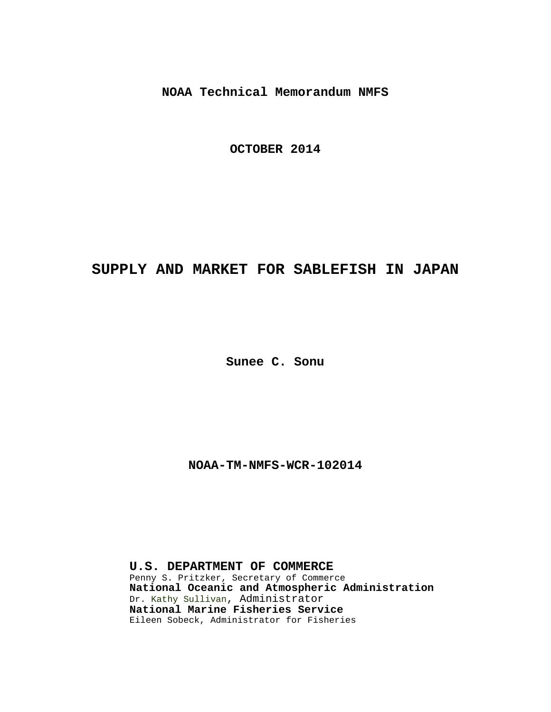**NOAA Technical Memorandum NMFS**

**OCTOBER 2014**

# **SUPPLY AND MARKET FOR SABLEFISH IN JAPAN**

**Sunee C. Sonu**

**NOAA-TM-NMFS-WCR-102014**

**U.S. DEPARTMENT OF COMMERCE** Penny S. Pritzker, Secretary of Commerce **National Oceanic and Atmospheric Administration** Dr. Kathy Sullivan, Administrator **National Marine Fisheries Service** Eileen Sobeck, Administrator for Fisheries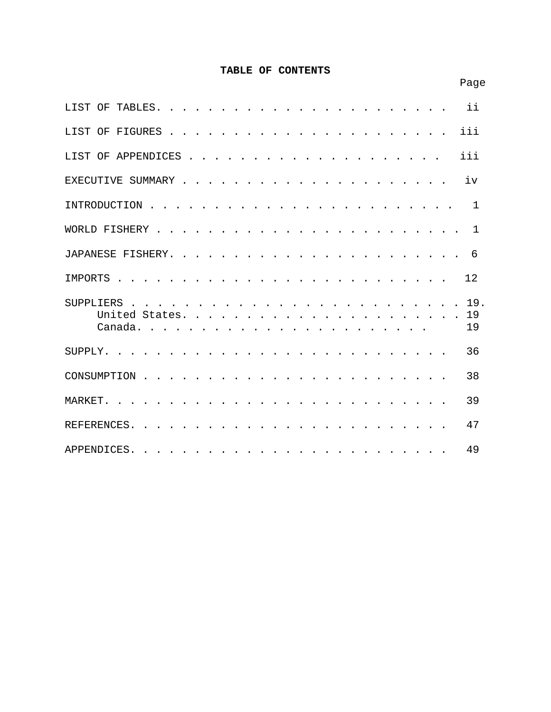# **TABLE OF CONTENTS**

| ii<br>LIST OF<br>TABLES.                                                                                                                                                                                                                               |
|--------------------------------------------------------------------------------------------------------------------------------------------------------------------------------------------------------------------------------------------------------|
| iii<br>LIST OF FIGURES                                                                                                                                                                                                                                 |
| iii<br>LIST OF APPENDICES                                                                                                                                                                                                                              |
| iv<br>EXECUTIVE SUMMARY                                                                                                                                                                                                                                |
| INTRODUCTION<br>$\mathbf 1$                                                                                                                                                                                                                            |
| WORLD FISHERY<br>$\mathbf{1}$                                                                                                                                                                                                                          |
| 6<br>JAPANESE FISHERY.<br><b><i>Contract Contract</i></b>                                                                                                                                                                                              |
| 12<br>IMPORTS                                                                                                                                                                                                                                          |
| 19.<br><b>SUPPLIERS</b><br>$\mathbf{r}$ , $\mathbf{r}$ , $\mathbf{r}$ , $\mathbf{r}$ , $\mathbf{r}$ , $\mathbf{r}$ , $\mathbf{r}$ , $\mathbf{r}$<br>19<br>United States.<br>19<br>Canada                                                               |
| 36<br>SUPPLY.                                                                                                                                                                                                                                          |
| 38<br>CONSUMPTION                                                                                                                                                                                                                                      |
| 39<br>MARKET.                                                                                                                                                                                                                                          |
| 47<br>REFERENCES.                                                                                                                                                                                                                                      |
| 49<br>APPENDICES.<br>$\frac{1}{2}$ . The contribution of the contribution of the contribution of the contribution of the contribution of the contribution of the contribution of the contribution of the contribution of the contribution of the contr |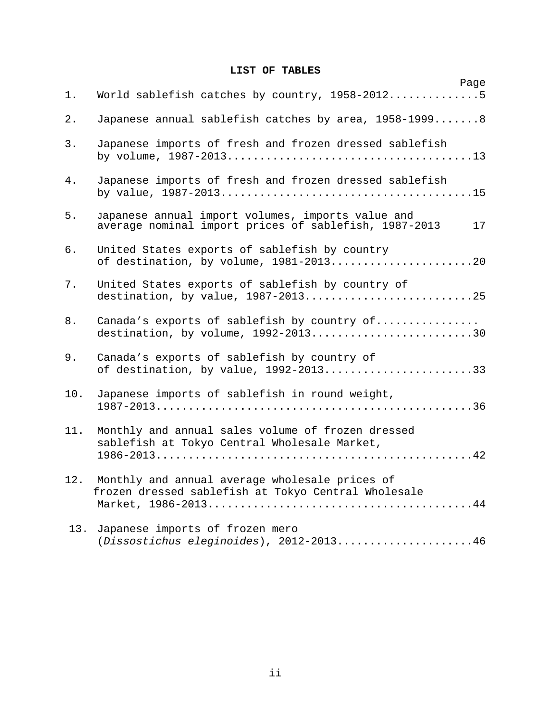# **LIST OF TABLES**

| Page<br>World sablefish catches by country, 1958-20125                                                           | 1.    |
|------------------------------------------------------------------------------------------------------------------|-------|
|                                                                                                                  |       |
| Japanese annual sablefish catches by area, 1958-19998                                                            | $2$ . |
| Japanese imports of fresh and frozen dressed sablefish                                                           | 3.    |
| Japanese imports of fresh and frozen dressed sablefish                                                           | $4$ . |
| Japanese annual import volumes, imports value and<br>average nominal import prices of sablefish, 1987-2013<br>17 | 5.    |
| United States exports of sablefish by country<br>of destination, by volume, 1981-201320                          | б.    |
| United States exports of sablefish by country of<br>destination, by value, 1987-201325                           | 7.    |
| Canada's exports of sablefish by country of<br>destination, by volume, $1992-2013$ 30                            | 8.    |
| Canada's exports of sablefish by country of<br>of destination, by value, 1992-201333                             | 9.    |
| Japanese imports of sablefish in round weight,                                                                   | 10.   |
| Monthly and annual sales volume of frozen dressed<br>sablefish at Tokyo Central Wholesale Market,                | 11.   |
| Monthly and annual average wholesale prices of<br>frozen dressed sablefish at Tokyo Central Wholesale            | 12.   |
| Japanese imports of frozen mero<br>(Dissostichus eleginoides), 2012-201346                                       | 13.   |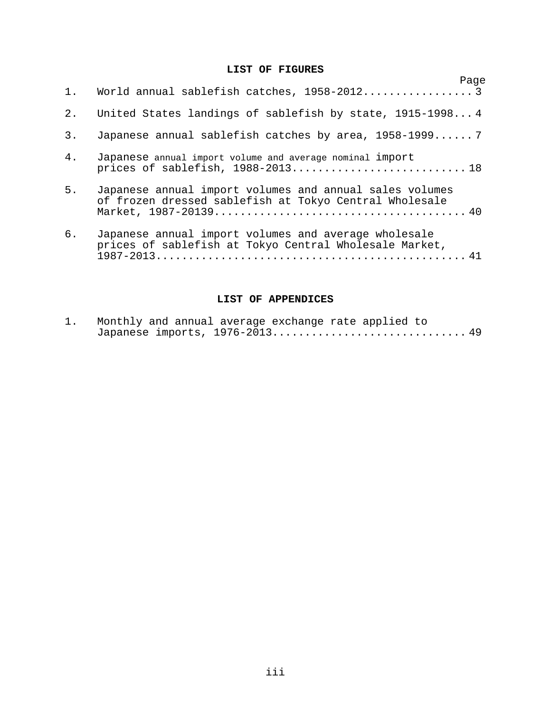## **LIST OF FIGURES**

|       | 1. World annual sablefish catches, 1958-2012 3                                                                    | Page |
|-------|-------------------------------------------------------------------------------------------------------------------|------|
| 2.    | United States landings of sablefish by state, 1915-19984                                                          |      |
| 3.    | Japanese annual sablefish catches by area, 1958-1999 7                                                            |      |
| $4$ . | Japanese annual import volume and average nominal import                                                          |      |
| 5.    | Japanese annual import volumes and annual sales volumes<br>of frozen dressed sablefish at Tokyo Central Wholesale |      |
| 6.    | Japanese annual import volumes and average wholesale<br>prices of sablefish at Tokyo Central Wholesale Market,    |      |

# **LIST OF APPENDICES**

| $\perp$ . |  |  | Monthly and annual average exchange rate applied to                                                      |  |  |
|-----------|--|--|----------------------------------------------------------------------------------------------------------|--|--|
|           |  |  | Japanese imports, $1976 - 2013 \ldots \ldots \ldots \ldots \ldots \ldots \ldots \ldots \ldots \ldots 49$ |  |  |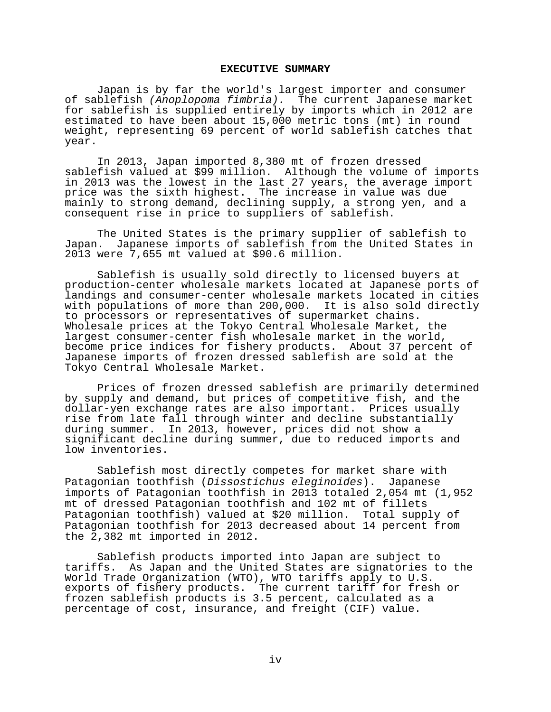#### **EXECUTIVE SUMMARY**

Japan is by far the world's largest importer and consumer of sablefish *(Anoplopoma fimbria).* The current Japanese market for sablefish is supplied entirely by imports which in 2012 are estimated to have been about 15,000 metric tons (mt) in round weight, representing 69 percent of world sablefish catches that year.

In 2013, Japan imported 8,380 mt of frozen dressed sablefish valued at \$99 million. Although the volume of imports in 2013 was the lowest in the last 27 years, the average import price was the sixth highest. The increase in value was due mainly to strong demand, declining supply, a strong yen, and a consequent rise in price to suppliers of sablefish.

The United States is the primary supplier of sablefish to<br>Japan. Japanese imports of sablefish from the United States in Japanese imports of sablefish from the United States in 2013 were 7,655 mt valued at \$90.6 million.

Sablefish is usually sold directly to licensed buyers at production-center wholesale markets located at Japanese ports of landings and consumer-center wholesale markets located in cities with populations of more than 200,000. It is also sold directly to processors or representatives of supermarket chains. Wholesale prices at the Tokyo Central Wholesale Market, the largest consumer-center fish wholesale market in the world, become price indices for fishery products. About 37 percent of Japanese imports of frozen dressed sablefish are sold at the Tokyo Central Wholesale Market.

Prices of frozen dressed sablefish are primarily determined by supply and demand, but prices of competitive fish, and the dollar-yen exchange rates are also important. Prices usually rise from late fall through winter and decline substantially<br>during summer. In 2013, however, prices did not show a In 2013, however, prices did not show a significant decline during summer, due to reduced imports and low inventories.

Sablefish most directly competes for market share with Patagonian toothfish (*Dissostichus eleginoides*). Japanese imports of Patagonian toothfish in 2013 totaled 2,054 mt (1,952 mt of dressed Patagonian toothfish and 102 mt of fillets Patagonian toothfish) valued at \$20 million. Total supply of Patagonian toothfish for 2013 decreased about 14 percent from the 2,382 mt imported in 2012.

Sablefish products imported into Japan are subject to tariffs. As Japan and the United States are signatories to the World Trade Organization (WTO), WTO tariffs apply to U.S. exports of fishery products. The current tariff for fresh or frozen sablefish products is 3.5 percent, calculated as a percentage of cost, insurance, and freight (CIF) value.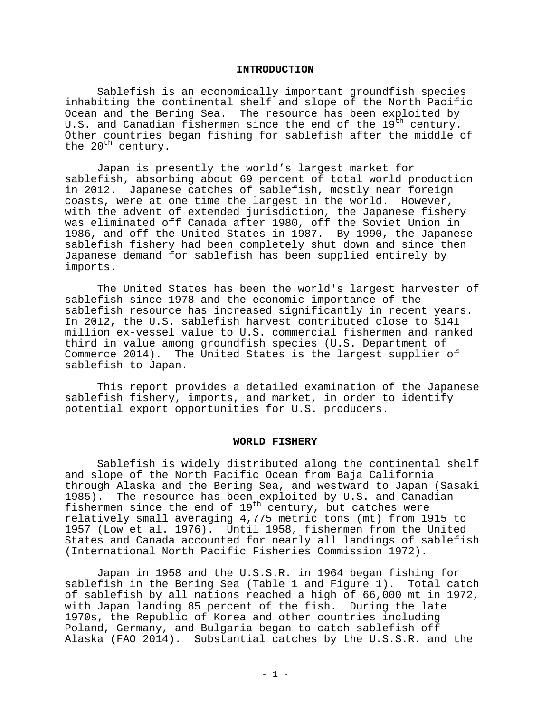#### **INTRODUCTION**

Sablefish is an economically important groundfish species inhabiting the continental shelf and slope of the North Pacific Ocean and the Bering Sea. The resource has been exploited by U.S. and Canadian fishermen since the end of the 19<sup>th</sup> century. Other countries began fishing for sablefish after the middle of the  $20^{\text{th}}$  century.

Japan is presently the world's largest market for sablefish, absorbing about 69 percent of total world production in 2012. Japanese catches of sablefish, mostly near foreign coasts, were at one time the largest in the world. However, with the advent of extended jurisdiction, the Japanese fishery was eliminated off Canada after 1980, off the Soviet Union in 1986, and off the United States in 1987. By 1990, the Japanese sablefish fishery had been completely shut down and since then Japanese demand for sablefish has been supplied entirely by imports.

The United States has been the world's largest harvester of sablefish since 1978 and the economic importance of the sablefish resource has increased significantly in recent years. In 2012, the U.S. sablefish harvest contributed close to \$141 million ex-vessel value to U.S. commercial fishermen and ranked third in value among groundfish species (U.S. Department of Commerce 2014). The United States is the largest supplier of sablefish to Japan.

This report provides a detailed examination of the Japanese sablefish fishery, imports, and market, in order to identify potential export opportunities for U.S. producers.

#### **WORLD FISHERY**

Sablefish is widely distributed along the continental shelf and slope of the North Pacific Ocean from Baja California through Alaska and the Bering Sea, and westward to Japan (Sasaki 1985). The resource has been exploited by U.S. and Canadian fishermen since the end of 19<sup>th</sup> century, but catches were relatively small averaging 4,775 metric tons (mt) from 1915 to 1957 (Low et al. 1976). Until 1958, fishermen from the United States and Canada accounted for nearly all landings of sablefish (International North Pacific Fisheries Commission 1972).

Japan in 1958 and the U.S.S.R. in 1964 began fishing for sablefish in the Bering Sea (Table 1 and Figure 1). Total catch of sablefish by all nations reached a high of 66,000 mt in 1972, with Japan landing 85 percent of the fish. During the late 1970s, the Republic of Korea and other countries including Poland, Germany, and Bulgaria began to catch sablefish off Alaska (FAO 2014). Substantial catches by the U.S.S.R. and the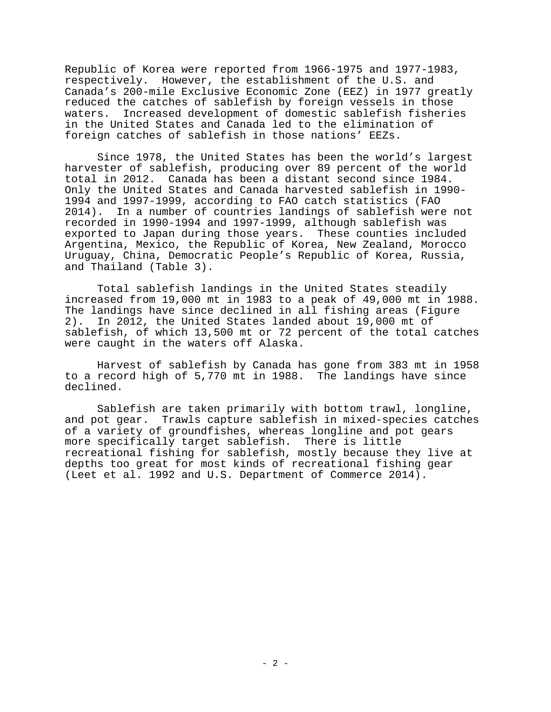Republic of Korea were reported from 1966-1975 and 1977-1983, respectively. However, the establishment of the U.S. and Canada's 200-mile Exclusive Economic Zone (EEZ) in 1977 greatly reduced the catches of sablefish by foreign vessels in those<br>waters. Increased development of domestic sablefish fisherie Increased development of domestic sablefish fisheries in the United States and Canada led to the elimination of foreign catches of sablefish in those nations' EEZs.

Since 1978, the United States has been the world's largest harvester of sablefish, producing over 89 percent of the world total in 2012. Canada has been a distant second since 1984. Only the United States and Canada harvested sablefish in 1990- 1994 and 1997-1999, according to FAO catch statistics (FAO 2014). In a number of countries landings of sablefish were not recorded in 1990-1994 and 1997-1999, although sablefish was exported to Japan during those years. These counties included Argentina, Mexico, the Republic of Korea, New Zealand, Morocco Uruguay, China, Democratic People's Republic of Korea, Russia, and Thailand (Table 3).

Total sablefish landings in the United States steadily increased from 19,000 mt in 1983 to a peak of 49,000 mt in 1988. The landings have since declined in all fishing areas (Figure<br>2). In 2012, the United States landed about 19,000 mt of 2). In 2012, the United States landed about 19,000 mt of sablefish, of which 13,500 mt or 72 percent of the total catches were caught in the waters off Alaska.

Harvest of sablefish by Canada has gone from 383 mt in 1958 to a record high of 5,770 mt in 1988. The landings have since declined.

Sablefish are taken primarily with bottom trawl, longline, and pot gear. Trawls capture sablefish in mixed-species catches of a variety of groundfishes, whereas longline and pot gears more specifically target sablefish. There is little recreational fishing for sablefish, mostly because they live at depths too great for most kinds of recreational fishing gear (Leet et al. 1992 and U.S. Department of Commerce 2014).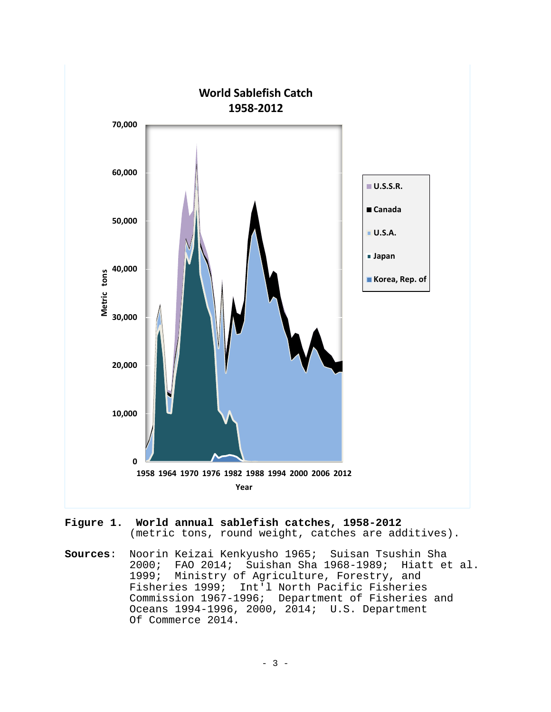

- **Figure 1. World annual sablefish catches, 1958-2012** (metric tons, round weight, catches are additives).
- **Sources**: Noorin Keizai Kenkyusho 1965; Suisan Tsushin Sha 2000; FAO 2014; Suishan Sha 1968-1989; Hiatt et al. 1999; Ministry of Agriculture, Forestry, and Fisheries 1999; Int'l North Pacific Fisheries Commission 1967-1996; Department of Fisheries and Oceans 1994-1996, 2000, 2014; U.S. Department Of Commerce 2014.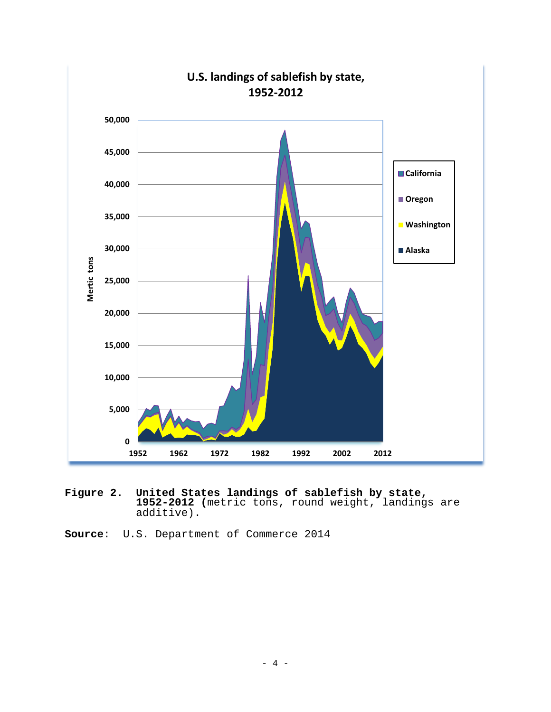

**Figure 2. United States landings of sablefish by state, 1952-2012 (**metric tons, round weight, landings are additive).

**Source**: U.S. Department of Commerce 2014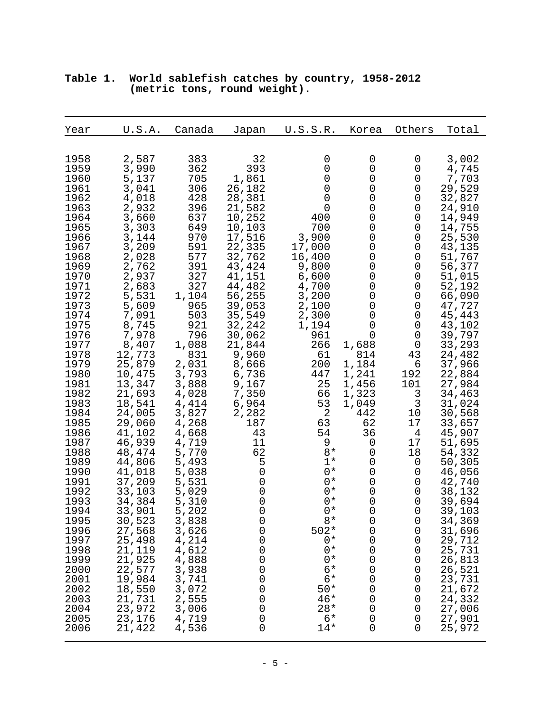| Year | U.S.A. | Canada | Japan               | U.S.S.R. | Korea       | Others          | Total  |
|------|--------|--------|---------------------|----------|-------------|-----------------|--------|
| 1958 | 2,587  | 383    | 32                  | 0        | 0           | 0               | 3,002  |
| 1959 | 3,990  | 362    | 393                 | 0        | 0           | 0               | 4,745  |
| 1960 | 5,137  | 705    | 1,861               | 0        | 0           | 0               | 7,703  |
| 1961 | 3,041  | 306    | 26,182              | 0        | 0           | 0               | 29,529 |
| 1962 | 4,018  | 428    | 28,381              | 0        | 0           | 0               | 32,827 |
| 1963 | 2,932  | 396    | 21,582              | 0        | 0           | 0               | 24,910 |
| 1964 | 3,660  | 637    | 10,252              | 400      | 0           | 0               | 14,949 |
| 1965 | 3,303  | 649    | 10,103              | 700      | 0           | 0               | 14,755 |
| 1966 | 3,144  | 970    | 17,516              | 3,900    | 0           | 0               | 25,530 |
| 1967 | 3,209  | 591    | 22,335              | 17,000   | 0           | 0               | 43,135 |
| 1968 | 2,028  | 577    | 32,762              | 16,400   | 0           | 0               | 51,767 |
| 1969 | 2,762  | 391    | 43,424              | 9,800    | 0           | 0               | 56,377 |
| 1970 | 2,937  | 327    | 41,151              | 6,600    | 0           | 0               | 51,015 |
| 1971 | 2,683  | 327    | 44,482              | 4,700    | 0           | 0               | 52,192 |
| 1972 | 5,531  | 1,104  | 56,255              | 3,200    | 0           | 0               | 66,090 |
| 1973 | 5,609  | 965    | 39,053              | 2,100    | 0           | 0               | 47,727 |
| 1974 | 7,091  | 503    | 35,549              | 2,300    | 0           | 0               | 45,443 |
| 1975 | 8,745  | 921    | 32,242              | 1,194    | 0           | 0               | 43,102 |
| 1976 | 7,978  | 796    | 30,062              | 961      | 0           | 0               | 39,797 |
| 1977 | 8,407  | 1,088  | 21,844              | 266      | 1,688       | 0               | 33,293 |
| 1978 | 12,773 | 831    | 9,960               | 61       | 814         | 43              | 24,482 |
| 1979 | 25,879 | 2,031  | 8,666               | 200      | 1,184       | 6               | 37,966 |
| 1980 | 10,475 | 3,793  | 6,736               | 447      | 1,241       | 192             | 22,884 |
| 1981 | 13,347 | 3,888  | 9,167               | 25       | 1,456       | 101             | 27,984 |
| 1982 | 21,693 | 4,028  | 7,350               | 66       | 1,323       | 3               | 34,463 |
| 1983 | 18,541 | 4,414  | 6,964               | 53       | 1,049       | 3               | 31,024 |
| 1984 | 24,005 | 3,827  | 2,282               | 2        | 442         | 10 <sub>1</sub> | 30,568 |
| 1985 | 29,060 | 4,268  | 187                 | 63       | 62          | 17              | 33,657 |
| 1986 | 41,102 | 4,668  | 43                  | 54       | 36          | $\overline{4}$  | 45,907 |
| 1987 | 46,939 | 4,719  | 11                  | 9        | 0           | 17              | 51,695 |
| 1988 | 48,474 | 5,770  | 62                  | $8*$     | 0           | 18              | 54,332 |
| 1989 | 44,806 | 5,493  | 5                   | $1*$     | 0           | 0               | 50,305 |
| 1990 | 41,018 | 5,038  | 0                   | $0*$     | 0           | 0               | 46,056 |
| 1991 | 37,209 | 5,531  | $\mathsf 0$         | $0*$     | 0           | 0               | 42,740 |
| 1992 | 33,103 | 5,029  | 0                   | $0*$     | 0           | 0               | 38,132 |
| 1993 | 34,384 | 5,310  | $\mathsf{O}\xspace$ | $0*$     | 0           | 0               | 39,694 |
| 1994 | 33,901 | 5,202  | $\mathsf{O}\xspace$ | $0*$     | 0           | 0               | 39,103 |
| 1995 | 30,523 | 3,838  | $\mathsf 0$         | $8*$     | $\mathsf 0$ | 0               | 34,369 |
| 1996 | 27,568 | 3,626  | 0                   | $502*$   | 0           | 0               | 31,696 |
| 1997 | 25,498 | 4,214  | 0                   | $0*$     | 0           | 0               | 29,712 |
| 1998 | 21,119 | 4,612  | 0                   | $0*$     | 0           | 0               | 25,731 |
| 1999 | 21,925 | 4,888  | 0                   | $0*$     | 0           | 0               | 26,813 |
| 2000 | 22,577 | 3,938  | 0                   | $6*$     | 0           | 0               | 26,521 |
| 2001 | 19,984 | 3,741  | 0                   | $6*$     | 0           | 0               | 23,731 |
| 2002 | 18,550 | 3,072  | 0                   | $50*$    | 0           | 0               | 21,672 |
| 2003 | 21,731 | 2,555  | 0                   | $46*$    | 0           | 0               | 24,332 |
| 2004 | 23,972 | 3,006  | 0                   | $28*$    | 0           | 0               | 27,006 |
| 2005 | 23,176 | 4,719  | 0                   | $6*$     | 0           | 0               | 27,901 |
| 2006 | 21,422 | 4,536  | 0                   | $14*$    | 0           | 0               | 25,972 |

# **Table 1. World sablefish catches by country, 1958-2012 (metric tons, round weight).**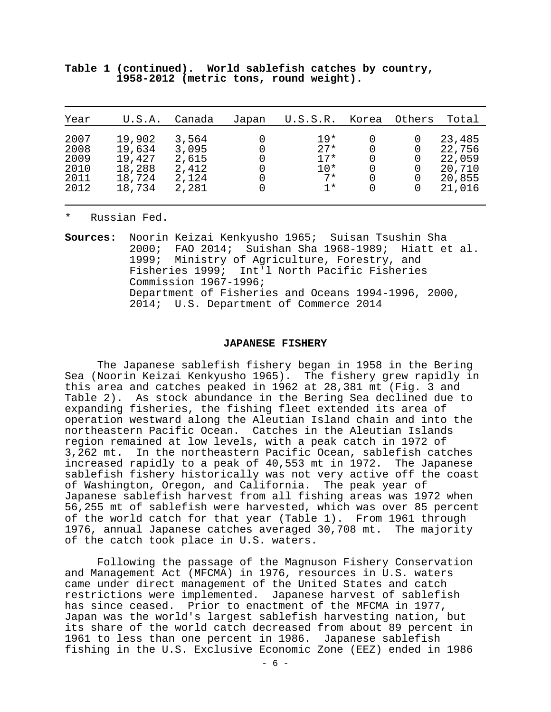| Year                                         | U.S.A.                                                   | Canada                                             | Japan | U.S.S.R.                                          | Korea                 | Others | Total                                                    |
|----------------------------------------------|----------------------------------------------------------|----------------------------------------------------|-------|---------------------------------------------------|-----------------------|--------|----------------------------------------------------------|
| 2007<br>2008<br>2009<br>2010<br>2011<br>2012 | 19,902<br>19,634<br>19,427<br>18,288<br>18,724<br>18,734 | 3,564<br>3,095<br>2,615<br>2,412<br>2,124<br>2,281 | 0     | $19*$<br>$2.7*$<br>$17*$<br>$10*$<br>$7*$<br>$1*$ | 0<br>0<br>0<br>0<br>0 | 0<br>0 | 23,485<br>22,756<br>22,059<br>20,710<br>20,855<br>21,016 |

**Table 1 (continued). World sablefish catches by country, 1958-2012 (metric tons, round weight).**

Russian Fed.

**Sources:** Noorin Keizai Kenkyusho 1965; Suisan Tsushin Sha 2000; FAO 2014; Suishan Sha 1968-1989; Hiatt et al. 1999; Ministry of Agriculture, Forestry, and Fisheries 1999; Int'l North Pacific Fisheries Commission 1967-1996; Department of Fisheries and Oceans 1994-1996, 2000, 2014; U.S. Department of Commerce 2014

#### **JAPANESE FISHERY**

The Japanese sablefish fishery began in 1958 in the Bering Sea (Noorin Keizai Kenkyusho 1965). The fishery grew rapidly in this area and catches peaked in 1962 at 28,381 mt (Fig. 3 and Table 2). As stock abundance in the Bering Sea declined due to expanding fisheries, the fishing fleet extended its area of operation westward along the Aleutian Island chain and into the northeastern Pacific Ocean. Catches in the Aleutian Islands region remained at low levels, with a peak catch in 1972 of 3,262 mt. In the northeastern Pacific Ocean, sablefish catches increased rapidly to a peak of 40,553 mt in 1972. The Japanese sablefish fishery historically was not very active off the coast of Washington, Oregon, and California. The peak year of Japanese sablefish harvest from all fishing areas was 1972 when 56,255 mt of sablefish were harvested, which was over 85 percent of the world catch for that year (Table 1). From 1961 through 1976, annual Japanese catches averaged 30,708 mt. The majority of the catch took place in U.S. waters.

Following the passage of the Magnuson Fishery Conservation and Management Act (MFCMA) in 1976, resources in U.S. waters came under direct management of the United States and catch restrictions were implemented. Japanese harvest of sablefish has since ceased. Prior to enactment of the MFCMA in 1977, Japan was the world's largest sablefish harvesting nation, but its share of the world catch decreased from about 89 percent in 1961 to less than one percent in 1986. Japanese sablefish fishing in the U.S. Exclusive Economic Zone (EEZ) ended in 1986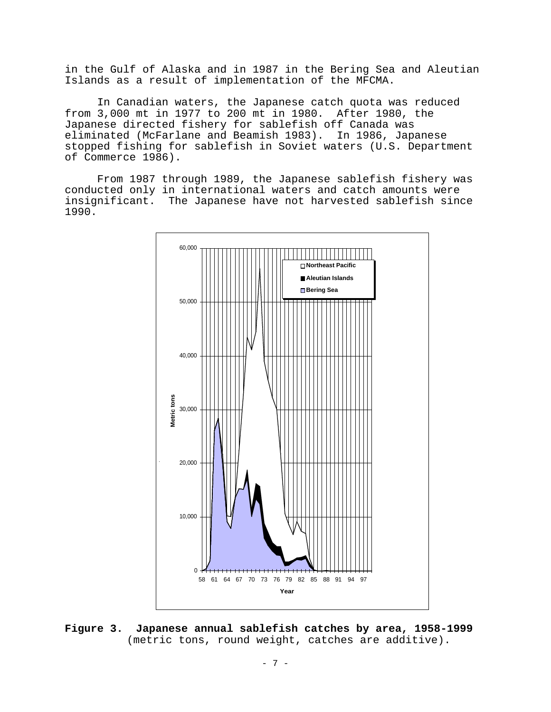in the Gulf of Alaska and in 1987 in the Bering Sea and Aleutian Islands as a result of implementation of the MFCMA.

In Canadian waters, the Japanese catch quota was reduced from 3,000 mt in 1977 to 200 mt in 1980. After 1980, the Japanese directed fishery for sablefish off Canada was eliminated (McFarlane and Beamish 1983). In 1986, Japanese stopped fishing for sablefish in Soviet waters (U.S. Department of Commerce 1986).

From 1987 through 1989, the Japanese sablefish fishery was conducted only in international waters and catch amounts were insignificant. The Japanese have not harvested sablefish since 1990.



**Figure 3. Japanese annual sablefish catches by area, 1958-1999** (metric tons, round weight, catches are additive).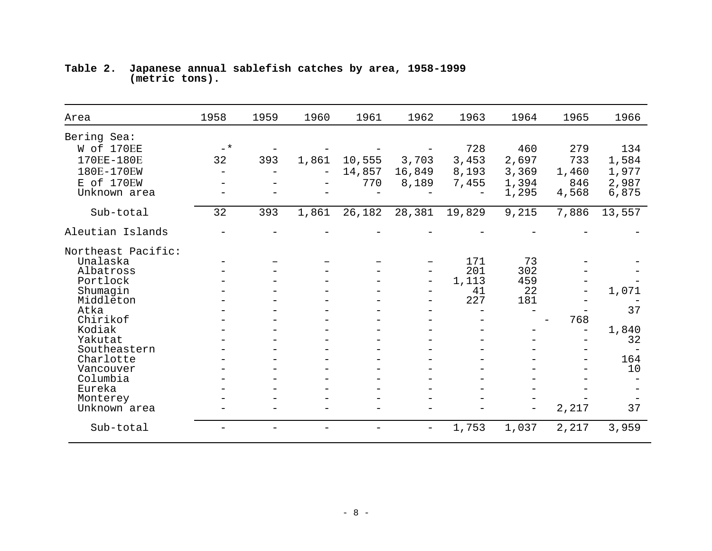| Area                  | 1958              | 1959 | 1960  | 1961   | 1962                     | 1963   | 1964  | 1965  | 1966      |
|-----------------------|-------------------|------|-------|--------|--------------------------|--------|-------|-------|-----------|
| Bering Sea:           |                   |      |       |        |                          |        |       |       |           |
| W of 170EE            | $-$ *             |      |       |        |                          | 728    | 460   | 279   | 134       |
| 170EE-180E            | 32                | 393  | 1,861 | 10,555 | 3,703                    | 3,453  | 2,697 | 733   | 1,584     |
| 180E-170EW            | $\qquad \qquad -$ |      |       | 14,857 | 16,849                   | 8,193  | 3,369 | 1,460 | 1,977     |
| E of 170EW            |                   |      |       | 770    | 8,189                    | 7,455  | 1,394 | 846   | 2,987     |
| Unknown area          |                   |      |       |        |                          |        | 1,295 | 4,568 | 6,875     |
| Sub-total             | 32                | 393  | 1,861 | 26,182 | 28,381                   | 19,829 | 9,215 | 7,886 | 13,557    |
| Aleutian Islands      |                   |      |       |        |                          |        |       |       |           |
| Northeast Pacific:    |                   |      |       |        |                          |        |       |       |           |
| Unalaska              |                   |      |       |        |                          | 171    | 73    |       |           |
| Albatross             |                   |      |       |        | $\overline{\phantom{0}}$ | 201    | 302   |       |           |
| Portlock              |                   |      |       |        | $\overline{\phantom{0}}$ | 1,113  | 459   |       |           |
| Shumagin              |                   |      |       |        |                          | 41     | 22    |       | 1,071     |
| Middleton             |                   |      |       |        |                          | 227    | 181   |       |           |
| Atka                  |                   |      |       |        |                          |        |       |       | 37        |
| Chirikof              |                   |      |       |        |                          |        |       | 768   |           |
| Kodiak                |                   |      |       |        |                          |        |       |       | 1,840     |
| Yakutat               |                   |      |       |        |                          |        |       |       | 32        |
| Southeastern          |                   |      |       |        |                          |        |       |       |           |
| Charlotte             |                   |      |       |        |                          |        |       |       | 164<br>10 |
| Vancouver<br>Columbia |                   |      |       |        |                          |        |       |       |           |
| Eureka                |                   |      |       |        |                          |        |       |       |           |
| Monterey              |                   |      |       |        |                          |        |       |       |           |
| Unknown area          |                   |      |       |        |                          |        |       | 2,217 | 37        |
| Sub-total             |                   |      |       |        | $\overline{\phantom{m}}$ | 1,753  | 1,037 | 2,217 | 3,959     |

## **Table 2. Japanese annual sablefish catches by area, 1958-1999 (metric tons).**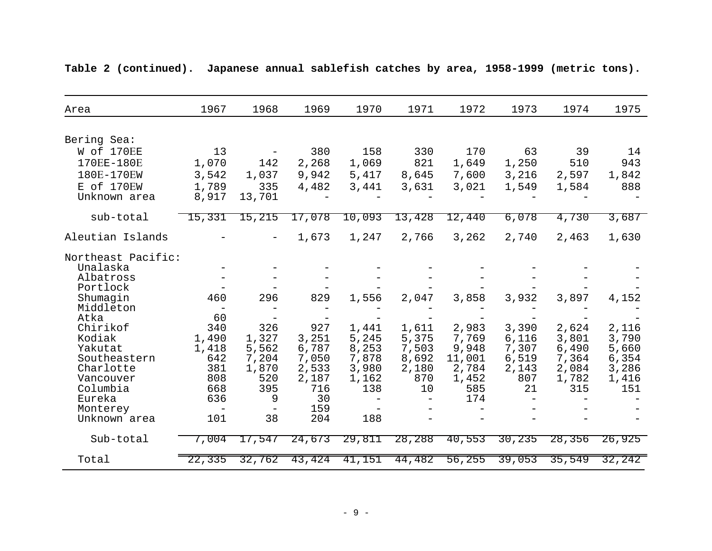| Area                  | 1967                     | 1968                     | 1969         | 1970                     | 1971         | 1972         | 1973         | 1974         | 1975         |
|-----------------------|--------------------------|--------------------------|--------------|--------------------------|--------------|--------------|--------------|--------------|--------------|
| Bering Sea:           |                          |                          |              |                          |              |              |              |              |              |
| W of 170EE            | 13                       |                          | 380          | 158                      | 330          | 170          | 63           | 39           | 14           |
| 170EE-180E            | 1,070                    | 142                      | 2,268        | 1,069                    | 821          | 1,649        | 1,250        | 510          | 943          |
| 180E-170EW            | 3,542                    | 1,037                    | 9,942        | 5,417                    | 8,645        | 7,600        | 3,216        | 2,597        | 1,842        |
|                       |                          |                          |              |                          |              |              |              |              |              |
| E of 170EW            | 1,789                    | 335                      | 4,482        | 3,441                    | 3,631        | 3,021        | 1,549        | 1,584        | 888          |
| Unknown area          | 8,917                    | 13,701                   |              |                          |              |              |              |              |              |
| sub-total             | 15,331                   | 15,215                   | 17,078       | 10,093                   | 13,428       | 12,440       | 6,078        | 4,730        | 3,687        |
| Aleutian Islands      |                          |                          | 1,673        | 1,247                    | 2,766        | 3,262        | 2,740        | 2,463        | 1,630        |
| Northeast Pacific:    |                          |                          |              |                          |              |              |              |              |              |
| Unalaska              |                          |                          |              |                          |              |              |              |              |              |
| Albatross             |                          |                          |              |                          |              |              |              |              |              |
| Portlock              |                          |                          |              |                          |              |              |              |              |              |
| Shumagin              | 460                      | 296                      | 829          | 1,556                    | 2,047        | 3,858        | 3,932        | 3,897        | 4,152        |
| Middleton             | $\overline{\phantom{m}}$ |                          |              |                          |              |              |              |              |              |
| Atka                  | 60                       | $\overline{\phantom{m}}$ |              |                          |              |              |              |              |              |
| Chirikof              | 340                      | 326                      | 927          | 1,441                    | 1,611        | 2,983        | 3,390        | 2,624        | 2,116        |
| Kodiak                | 1,490                    | 1,327                    | 3,251        | 5,245                    | 5,375        | 7,769        | 6,116        | 3,801        | 3,790        |
| Yakutat               | 1,418                    | 5,562                    | 6,787        | 8,253                    | 7,503        | 9,948        | 7,307        | 6,490        | 5,660        |
| Southeastern          | 642                      | 7,204                    | 7,050        | 7,878                    | 8,692        | 11,001       | 6,519        | 7,364        | 6,354        |
| Charlotte             | 381<br>808               | 1,870<br>520             | 2,533        | 3,980                    | 2,180<br>870 | 2,784        | 2,143<br>807 | 2,084        | 3,286        |
| Vancouver<br>Columbia | 668                      | 395                      | 2,187<br>716 | 1,162<br>138             | 10           | 1,452<br>585 | 21           | 1,782<br>315 | 1,416<br>151 |
| Eureka                | 636                      | 9                        | 30           | $\overline{\phantom{a}}$ |              | 174          |              |              |              |
| Monterey              | $\overline{\phantom{a}}$ | $\overline{\phantom{m}}$ | 159          | $\qquad \qquad -$        |              |              |              |              |              |
| Unknown area          | 101                      | 38                       | 204          | 188                      |              |              |              |              |              |
|                       |                          |                          |              |                          |              |              |              |              |              |
| Sub-total             | 7,004                    | 17,547                   | 24,673       | 29,811                   | 28,288       | 40,553       | 30,235       | 28,356       | 26,925       |
| Total                 | 22,335                   | 32,762                   | 43,424       | 41,151                   | 44,482       | 56,255       | 39,053       | 35,549       | 32,242       |

**Table 2 (continued). Japanese annual sablefish catches by area, 1958-1999 (metric tons).**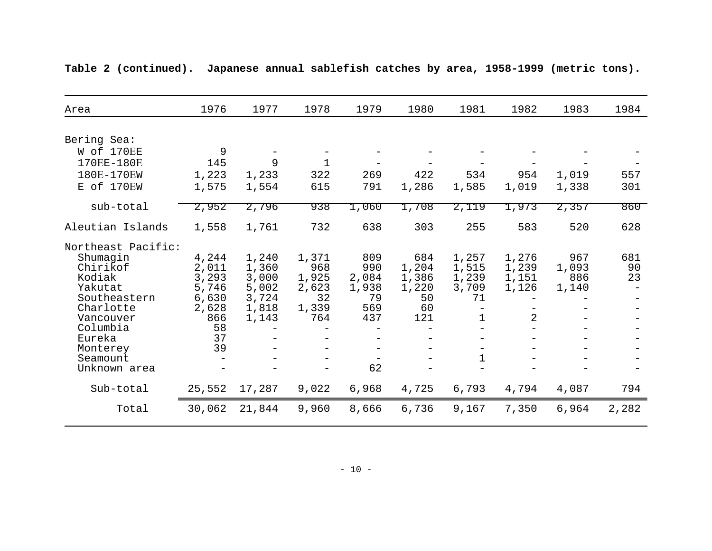| Area                 | 1976   | 1977   | 1978  | 1979  | 1980  | 1981  | 1982  | 1983  | 1984  |
|----------------------|--------|--------|-------|-------|-------|-------|-------|-------|-------|
|                      |        |        |       |       |       |       |       |       |       |
| Bering Sea:          |        |        |       |       |       |       |       |       |       |
| W of 170EE           | 9      |        |       |       |       |       |       |       |       |
| 170EE-180E           | 145    | 9      |       |       |       |       |       |       |       |
| 180E-170EW           | 1,223  | 1,233  | 322   | 269   | 422   | 534   | 954   | 1,019 | 557   |
| E of 170EW           | 1,575  | 1,554  | 615   | 791   | 1,286 | 1,585 | 1,019 | 1,338 | 301   |
|                      |        |        |       |       |       |       |       |       |       |
| sub-total            | 2,952  | 2,796  | 938   | 1,060 | 1,708 | 2,119 | 1,973 | 2,357 | 860   |
| Aleutian Islands     | 1,558  | 1,761  | 732   | 638   | 303   | 255   | 583   | 520   | 628   |
|                      |        |        |       |       |       |       |       |       |       |
| Northeast Pacific:   |        |        |       |       |       |       |       |       |       |
| Shumaqin             | 4,244  | 1,240  | 1,371 | 809   | 684   | 1,257 | 1,276 | 967   | 681   |
| Chirikof             | 2,011  | 1,360  | 968   | 990   | 1,204 | 1,515 | 1,239 | 1,093 | 90    |
| Kodiak               | 3,293  | 3,000  | 1,925 | 2,084 | 1,386 | 1,239 | 1,151 | 886   | 23    |
| Yakutat              | 5,746  | 5,002  | 2,623 | 1,938 | 1,220 | 3,709 | 1,126 | 1,140 |       |
| Southeastern         | 6,630  | 3,724  | 32    | 79    | 50    | 71    |       |       |       |
| Charlotte            | 2,628  | 1,818  | 1,339 | 569   | 60    |       |       |       |       |
| Vancouver            | 866    | 1,143  | 764   | 437   | 121   | 1     | 2     |       |       |
| Columbia             | 58     |        |       |       |       |       |       |       |       |
| Eureka               | 37     |        |       |       |       |       |       |       |       |
| Monterey<br>Seamount | 39     |        |       |       |       | 1     |       |       |       |
| Unknown area         |        |        |       | 62    |       |       |       |       |       |
|                      |        |        |       |       |       |       |       |       |       |
| Sub-total            | 25,552 | 17,287 | 9,022 | 6,968 | 4,725 | 6,793 | 4,794 | 4,087 | 794   |
| Total                | 30,062 | 21,844 | 9,960 | 8,666 | 6,736 | 9,167 | 7,350 | 6,964 | 2,282 |
|                      |        |        |       |       |       |       |       |       |       |

**Table 2 (continued). Japanese annual sablefish catches by area, 1958-1999 (metric tons).**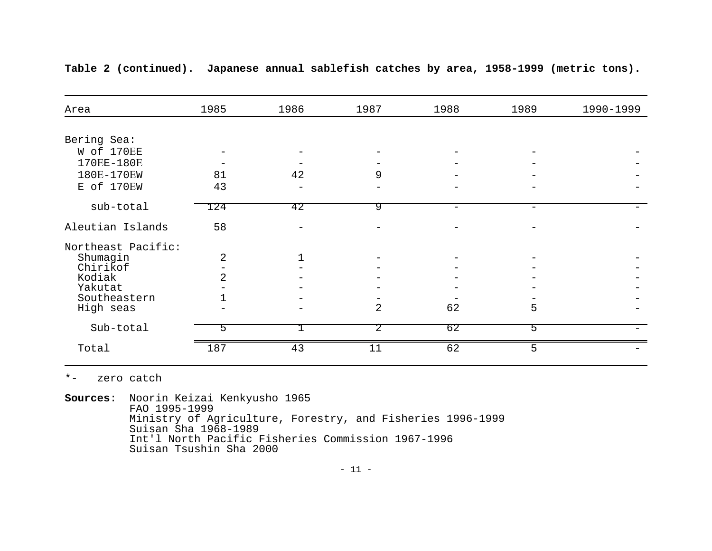| Area               | 1985           | 1986           | 1987           | 1988 | 1989 | 1990-1999 |
|--------------------|----------------|----------------|----------------|------|------|-----------|
|                    |                |                |                |      |      |           |
| Bering Sea:        |                |                |                |      |      |           |
| W of 170EE         |                |                |                |      |      |           |
| 170EE-180E         |                |                |                |      |      |           |
| 180E-170EW         | 81             | 42             | 9              |      |      |           |
| E of 170EW         | 43             |                |                |      |      |           |
| sub-total          | 124            | 42             | 9              |      |      |           |
| Aleutian Islands   | 58             |                |                |      |      |           |
| Northeast Pacific: |                |                |                |      |      |           |
| Shumagin           | $\overline{2}$ | $\overline{1}$ |                |      |      |           |
| Chirikof           |                |                |                |      |      |           |
| Kodiak             | 2.             |                |                |      |      |           |
| Yakutat            |                |                |                |      |      |           |
| Southeastern       |                |                |                |      |      |           |
| High seas          |                |                | $\overline{2}$ | 62   | 5    |           |
| Sub-total          | 5              |                | 2              | 62   | 5    |           |
| Total              | 187            | 43             | 11             | 62   | 5    |           |

**Table 2 (continued). Japanese annual sablefish catches by area, 1958-1999 (metric tons).**

\*- zero catch

**Sources:** Noorin Keizai Kenkyusho 1965<br>FAO 1995-1999<br>Ministry of Agriculture, Forestry, and Fisheries 1996-1999<br>Suisan Sha 1968-1989<br>Int'l North Pacific Fisheries Commission 1967-1996<br>Suisan Tsushin Sha 2000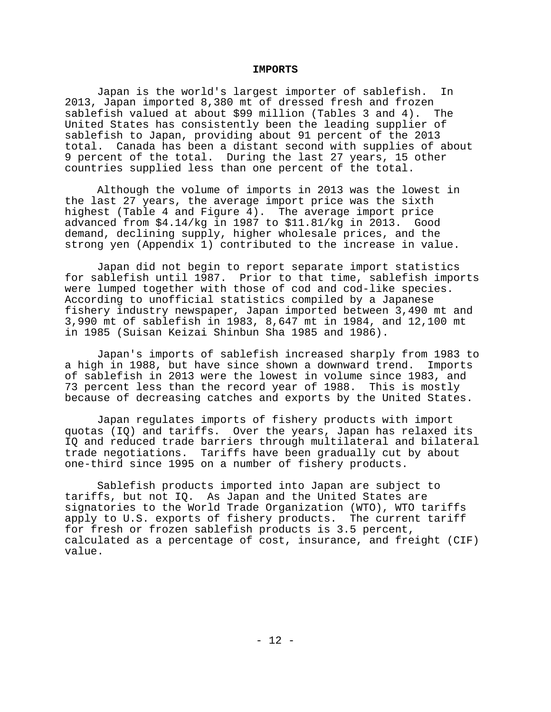#### **IMPORTS**

Japan is the world's largest importer of sablefish. In 2013, Japan imported 8,380 mt of dressed fresh and frozen sablefish valued at about \$99 million (Tables 3 and 4). The United States has consistently been the leading supplier of sablefish to Japan, providing about 91 percent of the 2013 total. Canada has been a distant second with supplies of about 9 percent of the total. During the last 27 years, 15 other countries supplied less than one percent of the total.

Although the volume of imports in 2013 was the lowest in the last 27 years, the average import price was the sixth highest (Table 4 and Figure 4). The average import price advanced from \$4.14/kg in 1987 to \$11.81/kg in 2013. Good demand, declining supply, higher wholesale prices, and the strong yen (Appendix 1) contributed to the increase in value.

Japan did not begin to report separate import statistics for sablefish until 1987. Prior to that time, sablefish imports were lumped together with those of cod and cod-like species. According to unofficial statistics compiled by a Japanese fishery industry newspaper, Japan imported between 3,490 mt and 3,990 mt of sablefish in 1983, 8,647 mt in 1984, and 12,100 mt in 1985 (Suisan Keizai Shinbun Sha 1985 and 1986).

Japan's imports of sablefish increased sharply from 1983 to a high in 1988, but have since shown a downward trend. Imports of sablefish in 2013 were the lowest in volume since 1983, and 73 percent less than the record year of 1988. This is mostly because of decreasing catches and exports by the United States.

Japan regulates imports of fishery products with import quotas (IQ) and tariffs. Over the years, Japan has relaxed its IQ and reduced trade barriers through multilateral and bilateral trade negotiations. Tariffs have been gradually cut by about one-third since 1995 on a number of fishery products.

Sablefish products imported into Japan are subject to tariffs, but not IQ. As Japan and the United States are signatories to the World Trade Organization (WTO), WTO tariffs apply to U.S. exports of fishery products. The current tariff for fresh or frozen sablefish products is 3.5 percent, calculated as a percentage of cost, insurance, and freight (CIF) value.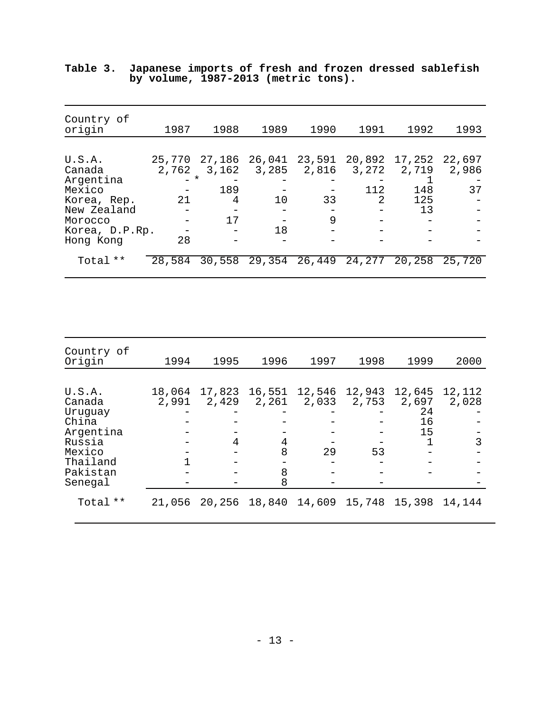| Country of<br>origin       | 1987            | 1988            | 1989            | 1990            | 1991            | 1992            | 1993            |
|----------------------------|-----------------|-----------------|-----------------|-----------------|-----------------|-----------------|-----------------|
|                            |                 |                 |                 |                 |                 |                 |                 |
| U.S.A.<br>Canada           | 25,770<br>2,762 | 27,186<br>3,162 | 26,041<br>3,285 | 23,591<br>2,816 | 20,892<br>3,272 | 17,252<br>2,719 | 22,697<br>2,986 |
| Argentina<br>Mexico        | $-$ *           | 189             |                 |                 | 112             | 148             | 37              |
| Korea, Rep.<br>New Zealand | 21              | 4               | 10              | 33              | 2               | 125<br>13       |                 |
| Morocco                    |                 | 17              |                 | 9               |                 |                 |                 |
| Korea, D.P.Rp.             |                 |                 | 18              |                 |                 |                 |                 |
| Hong Kong                  | 28              |                 |                 |                 |                 |                 |                 |
| Total **                   | 28,584          | 30,558          | 29,354          | 26,449          | 24,277          | 20,258          | 25,720          |

|                                     |  |  |  | Table 3. Japanese imports of fresh and frozen dressed sablefish |
|-------------------------------------|--|--|--|-----------------------------------------------------------------|
| by volume, 1987-2013 (metric tons). |  |  |  |                                                                 |

| Country of<br>Origin | 1994   | 1995   | 1996                                            | 1997   | 1998   | 1999        | 2000   |
|----------------------|--------|--------|-------------------------------------------------|--------|--------|-------------|--------|
| U.S.A.               | 18,064 | 17,823 | 16,551                                          | 12,546 | 12,943 | 12,645      | 12,112 |
| Canada               | 2,991  | 2,429  | 2,261                                           | 2,033  | 2,753  | 2,697<br>24 | 2,028  |
| Uruguay<br>China     |        |        |                                                 |        |        | 16          |        |
| Argentina<br>Russia  |        | 4      | 4                                               |        |        | 15          | 3      |
| Mexico<br>Thailand   |        |        | 8                                               | 29     | 53     |             |        |
| Pakistan<br>Senegal  |        |        | 8<br>8                                          |        |        |             |        |
| Total **             | 21,056 |        | 20, 256 18, 840 14, 609 15, 748 15, 398 14, 144 |        |        |             |        |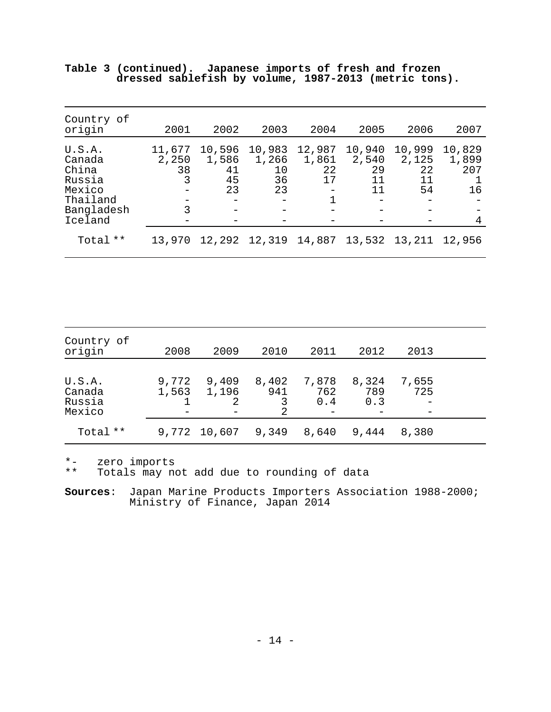| Country of<br>origin                                                               | 2001                            | 2002                                        | 2003                              | 2004                        | 2005                              | 2006                              | 2007                              |
|------------------------------------------------------------------------------------|---------------------------------|---------------------------------------------|-----------------------------------|-----------------------------|-----------------------------------|-----------------------------------|-----------------------------------|
| U.S.A.<br>Canada<br>China<br>Russia<br>Mexico<br>Thailand<br>Bangladesh<br>Iceland | 11,677<br>2,250<br>38<br>3<br>3 | 10,596<br>1,586<br>41<br>45<br>23<br>-<br>— | 10,983<br>1,266<br>10<br>36<br>23 | 12,987<br>1,861<br>22<br>17 | 10,940<br>2,540<br>29<br>11<br>11 | 10,999<br>2,125<br>22<br>11<br>54 | 10,829<br>1,899<br>207<br>16<br>4 |
| Total **                                                                           | 13,970                          | 12,292                                      |                                   | 12,319 14,887               | 13,532                            | 13,211                            | 12,956                            |

|  | Table 3 (continued). Japanese imports of fresh and frozen |  |  |  |  |  |
|--|-----------------------------------------------------------|--|--|--|--|--|
|  | dressed sablefish by volume, 1987-2013 (metric tons).     |  |  |  |  |  |

| Country of<br>origin                 | 2008           | 2009           | 2010              | 2011                | 2012                | 2013         |  |
|--------------------------------------|----------------|----------------|-------------------|---------------------|---------------------|--------------|--|
| U.S.A.<br>Canada<br>Russia<br>Mexico | 9,772<br>1,563 | 9,409<br>1,196 | 8,402<br>941<br>2 | 7,878<br>762<br>0.4 | 8,324<br>789<br>0.3 | 7,655<br>725 |  |
| Total **                             | 9,772          | 10,607         | 9,349             | 8,640               | 9,444               | 8,380        |  |

\*- zero imports

\*\* Totals may not add due to rounding of data

**Sources**: Japan Marine Products Importers Association 1988-2000; Ministry of Finance, Japan 2014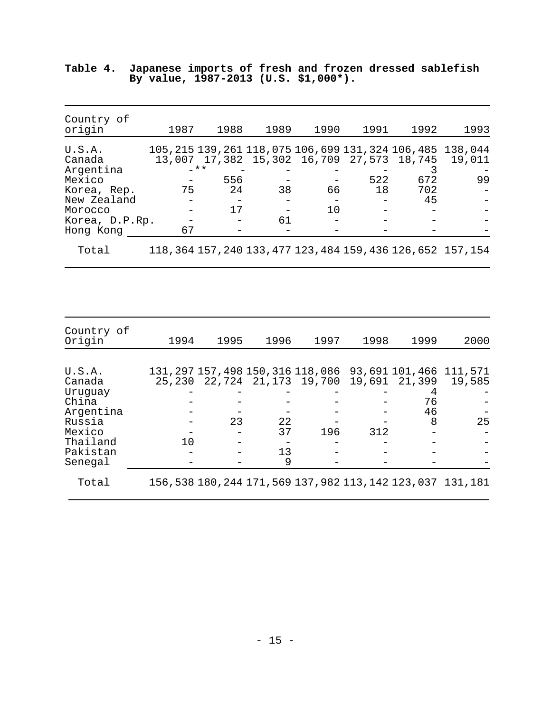| Country of<br>origin                                                                                            | 1987     | 1988                      | 1989     | 1990     | 1991      | 1992                                                          | 1993                                                                           |
|-----------------------------------------------------------------------------------------------------------------|----------|---------------------------|----------|----------|-----------|---------------------------------------------------------------|--------------------------------------------------------------------------------|
| U.S.A.<br>Canada<br>Argentina<br>Mexico<br>Korea, Rep.<br>New Zealand<br>Morocco<br>Korea, D.P.Rp.<br>Hong Kong | 75<br>67 | $-***$<br>556<br>24<br>17 | 38<br>61 | 66<br>10 | 522<br>18 | 13,007 17,382 15,302 16,709 27,573 18,745<br>672<br>702<br>45 | 105, 215 139, 261 118, 075 106, 699 131, 324 106, 485 138, 044<br>19,011<br>99 |
| Total                                                                                                           |          |                           |          |          |           |                                                               | 118, 364 157, 240 133, 477 123, 484 159, 436 126, 652 157, 154                 |

|                                      |  |  |  | Table 4. Japanese imports of fresh and frozen dressed sablefish |
|--------------------------------------|--|--|--|-----------------------------------------------------------------|
| By value, 1987-2013 (U.S. \$1,000*). |  |  |  |                                                                 |

| Country of<br>Origin | 1994 | 1995 | 1996 | 1997 | 1998 | 1999                                      | 2000                                                                    |
|----------------------|------|------|------|------|------|-------------------------------------------|-------------------------------------------------------------------------|
|                      |      |      |      |      |      |                                           |                                                                         |
| U.S.A.<br>Canada     |      |      |      |      |      | 25,230 22,724 21,173 19,700 19,691 21,399 | 131, 297 157, 498 150, 316 118, 086 93, 691 101, 466 111, 571<br>19,585 |
| Uruguay              |      |      |      |      |      |                                           |                                                                         |
| China                |      |      |      |      |      | 76                                        |                                                                         |
| Argentina            |      |      |      |      |      | 46                                        |                                                                         |
| Russia               |      | 23   | 22   |      |      | 8                                         | 25                                                                      |
| Mexico               |      |      | 37   | 196  | 312  |                                           |                                                                         |
| Thailand             | 10   |      |      |      |      |                                           |                                                                         |
| Pakistan             |      |      | 13   |      |      |                                           |                                                                         |
| Senegal              |      |      | 9    |      |      |                                           |                                                                         |
| Total                |      |      |      |      |      |                                           | 156, 538 180, 244 171, 569 137, 982 113, 142 123, 037 131, 181          |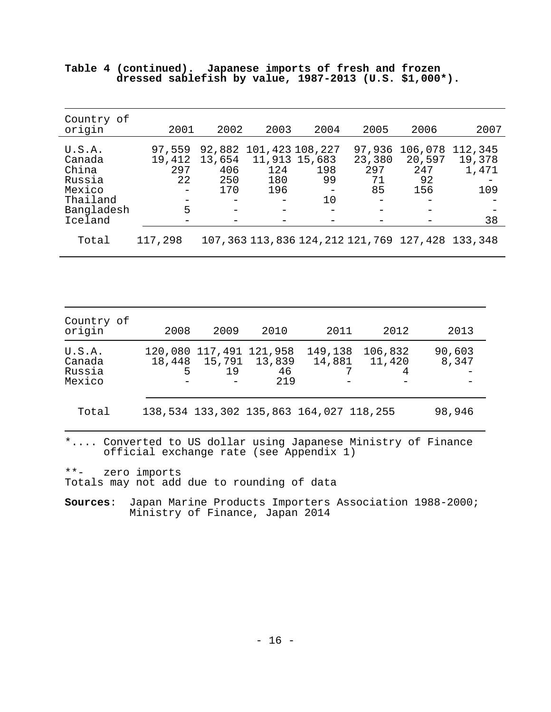| Country of<br>origin                                                               | 2001                               | 2002                                  | 2003                               | 2004                               | 2005                                | 2006                                                  | 2007                                    |
|------------------------------------------------------------------------------------|------------------------------------|---------------------------------------|------------------------------------|------------------------------------|-------------------------------------|-------------------------------------------------------|-----------------------------------------|
| U.S.A.<br>Canada<br>China<br>Russia<br>Mexico<br>Thailand<br>Bangladesh<br>Iceland | 97,559<br>19,412<br>297<br>22<br>5 | 92,882<br>13,654<br>406<br>250<br>170 | 11,913 15,683<br>124<br>180<br>196 | 101,423 108,227<br>198<br>99<br>10 | 97,936<br>23,380<br>297<br>71<br>85 | 106,078<br>20,597<br>247<br>92<br>156                 | 112,345<br>19,378<br>1,471<br>109<br>38 |
| Total                                                                              | 117,298                            |                                       |                                    |                                    |                                     | 107, 363 113, 836 124, 212 121, 769 127, 428 133, 348 |                                         |

|  | Table 4 (continued). Japanese imports of fresh and frozen |  |  |  |  |  |
|--|-----------------------------------------------------------|--|--|--|--|--|
|  | dressed sablefish by value, $1987-2013$ (U.S. \$1,000*).  |  |  |  |  |  |

| Country of<br>origin                 | 2008        | 2009                                    | 2010                | 2011                                    | 2012                           | 2013            |
|--------------------------------------|-------------|-----------------------------------------|---------------------|-----------------------------------------|--------------------------------|-----------------|
| U.S.A.<br>Canada<br>Russia<br>Mexico | 18,448<br>5 | 120,080 117,491 121,958<br>15,791<br>19 | 13,839<br>46<br>219 | 149,138                                 | 106,832<br>14,881  11,420<br>4 | 90,603<br>8,347 |
| Total                                |             |                                         |                     | 138,534 133,302 135,863 164,027 118,255 |                                | 98,946          |

\*.... Converted to US dollar using Japanese Ministry of Finance official exchange rate (see Appendix 1)

\*\*- zero imports Totals may not add due to rounding of data

**Sources**: Japan Marine Products Importers Association 1988-2000; Ministry of Finance, Japan 2014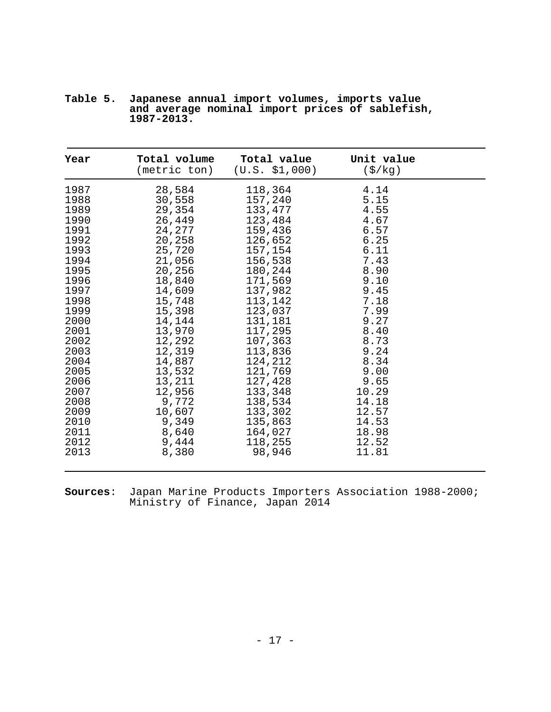| Year | Total volume<br>(metric ton) | Total value<br>(U.S. \$1,000) | Unit value<br>$(\frac{\xi}{kg})$ |  |
|------|------------------------------|-------------------------------|----------------------------------|--|
| 1987 | 28,584                       | 118,364                       | 4.14                             |  |
| 1988 | 30,558                       | 157,240                       | 5.15                             |  |
| 1989 | 29,354                       | 133,477                       | 4.55                             |  |
| 1990 | 26,449                       | 123,484                       | 4.67                             |  |
| 1991 | 24,277                       | 159,436                       | 6.57                             |  |
| 1992 | 20,258                       | 126,652                       | 6.25                             |  |
| 1993 | 25,720                       | 157,154                       | 6.11                             |  |
| 1994 | 21,056                       | 156,538                       | 7.43                             |  |
| 1995 | 20,256                       | 180,244                       | 8.90                             |  |
| 1996 | 18,840                       | 171,569                       | 9.10                             |  |
| 1997 | 14,609                       | 137,982                       | 9.45                             |  |
| 1998 | 15,748                       | 113,142                       | 7.18                             |  |
| 1999 | 15,398                       | 123,037                       | 7.99                             |  |
| 2000 | 14,144                       | 131,181                       | 9.27                             |  |
| 2001 | 13,970                       | 117,295                       | 8.40                             |  |
| 2002 | 12,292                       | 107,363                       | 8.73                             |  |
| 2003 | 12,319                       | 113,836                       | 9.24                             |  |
| 2004 | 14,887                       | 124,212                       | 8.34                             |  |
| 2005 | 13,532                       | 121,769                       | 9.00                             |  |
| 2006 | 13,211                       | 127,428                       | 9.65                             |  |
| 2007 | 12,956                       | 133,348                       | 10.29                            |  |
| 2008 | 9,772                        | 138,534                       | 14.18                            |  |
| 2009 | 10,607                       | 133,302                       | 12.57                            |  |
| 2010 | 9,349                        | 135,863                       | 14.53                            |  |
| 2011 | 8,640                        | 164,027                       | 18.98                            |  |
| 2012 | 9,444                        | 118,255                       | 12.52                            |  |
| 2013 | 8,380                        | 98,946                        | 11.81                            |  |

|  | Table 5. Japanese annual import volumes, imports value        |  |  |  |  |  |
|--|---------------------------------------------------------------|--|--|--|--|--|
|  | and average nominal import prices of sablefish,<br>1987-2013. |  |  |  |  |  |

**Sources**: Japan Marine Products Importers Association 1988-2000; Ministry of Finance, Japan 2014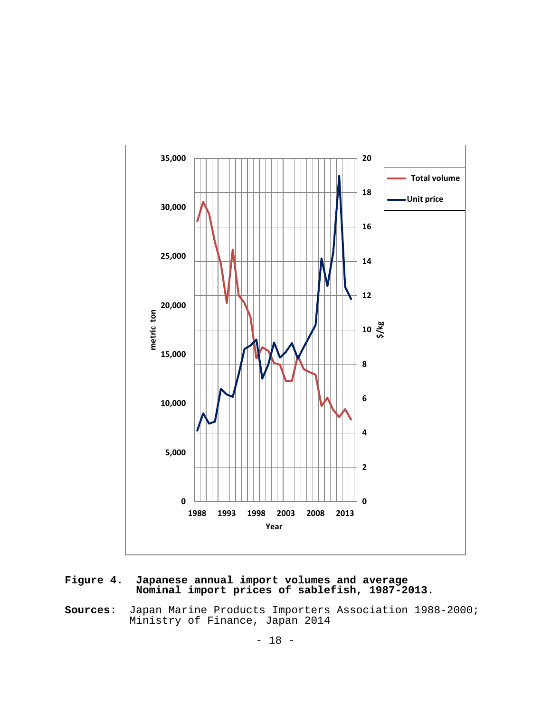

**Figure 4. Japanese annual import volumes and average Nominal import prices of sablefish, 1987-2013.**

**Sources**: Japan Marine Products Importers Association 1988-2000; Ministry of Finance, Japan 2014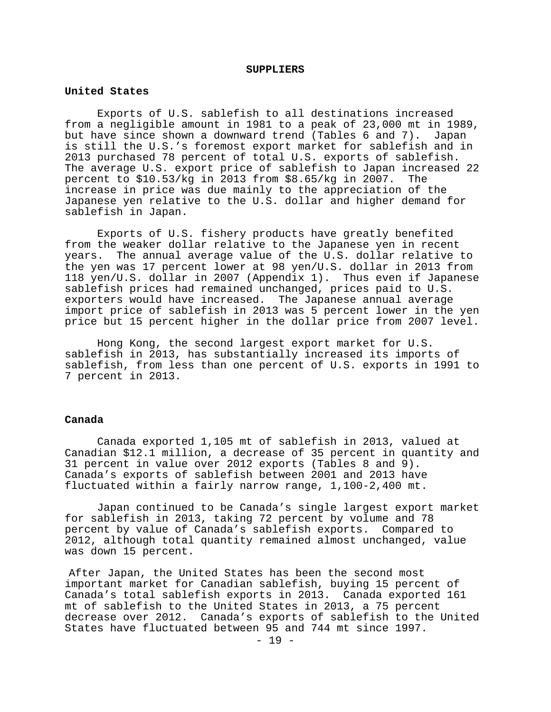#### **SUPPLIERS**

#### **United States**

Exports of U.S. sablefish to all destinations increased from a negligible amount in 1981 to a peak of 23,000 mt in 1989, but have since shown a downward trend (Tables 6 and 7). Japan is still the U.S.'s foremost export market for sablefish and in 2013 purchased 78 percent of total U.S. exports of sablefish. The average U.S. export price of sablefish to Japan increased 22<br>percent to \$10.53/kg in 2013 from \$8.65/kg in 2007. The percent to  $$10.53/kg$  in 2013 from  $$8.65/kg$  in 2007. increase in price was due mainly to the appreciation of the Japanese yen relative to the U.S. dollar and higher demand for sablefish in Japan.

Exports of U.S. fishery products have greatly benefited from the weaker dollar relative to the Japanese yen in recent years. The annual average value of the U.S. dollar relative to the yen was 17 percent lower at 98 yen/U.S. dollar in 2013 from 118 yen/U.S. dollar in 2007 (Appendix 1). Thus even if Japanese sablefish prices had remained unchanged, prices paid to U.S. exporters would have increased. The Japanese annual average import price of sablefish in 2013 was 5 percent lower in the yen price but 15 percent higher in the dollar price from 2007 level.

Hong Kong, the second largest export market for U.S. sablefish in 2013, has substantially increased its imports of sablefish, from less than one percent of U.S. exports in 1991 to 7 percent in 2013.

#### **Canada**

Canada exported 1,105 mt of sablefish in 2013, valued at Canadian \$12.1 million, a decrease of 35 percent in quantity and 31 percent in value over 2012 exports (Tables 8 and 9). Canada's exports of sablefish between 2001 and 2013 have fluctuated within a fairly narrow range, 1,100-2,400 mt.

Japan continued to be Canada's single largest export market for sablefish in 2013, taking 72 percent by volume and 78 percent by value of Canada's sablefish exports. Compared to 2012, although total quantity remained almost unchanged, value was down 15 percent.

After Japan, the United States has been the second most important market for Canadian sablefish, buying 15 percent of Canada's total sablefish exports in 2013. Canada exported 161 mt of sablefish to the United States in 2013, a 75 percent decrease over 2012. Canada's exports of sablefish to the United States have fluctuated between 95 and 744 mt since 1997.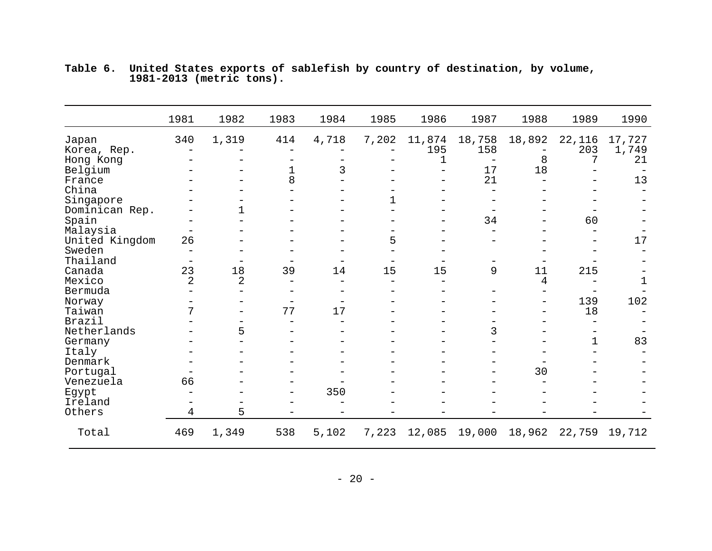|                | 1981              | 1982           | 1983 | 1984  | 1985  | 1986                     | 1987   | 1988   | 1989        | 1990   |
|----------------|-------------------|----------------|------|-------|-------|--------------------------|--------|--------|-------------|--------|
| Japan          | 340               | 1,319          | 414  | 4,718 | 7,202 | 11,874                   | 18,758 | 18,892 | 22,116      | 17,727 |
| Korea, Rep.    |                   |                |      |       |       | 195                      | 158    |        | 203         | 1,749  |
| Hong Kong      |                   |                |      |       |       | 1                        |        | 8      | 7           | 21     |
| Belgium        |                   |                | 1    | 3     |       | $\overline{\phantom{0}}$ | 17     | 18     |             |        |
| France         |                   |                | 8    |       |       |                          | 21     |        |             | 13     |
| China          |                   |                |      |       |       |                          |        |        |             |        |
| Singapore      |                   |                |      |       | 1     |                          |        |        |             |        |
| Dominican Rep. |                   |                |      |       |       |                          |        |        |             |        |
| Spain          |                   |                |      |       |       |                          | 34     |        | 60          |        |
| Malaysia       | $\qquad \qquad -$ |                |      |       |       |                          |        |        |             |        |
| United Kingdom | 26                |                |      |       | 5     |                          |        |        |             | $17$   |
| Sweden         |                   |                |      |       |       |                          |        |        |             |        |
| Thailand       |                   |                |      |       |       |                          |        |        |             |        |
| Canada         | 23                | 18             | 39   | 14    | 15    | 15                       | 9      | 11     | 215         |        |
| Mexico         | $\overline{a}$    | $\overline{2}$ |      |       |       |                          |        | 4      |             |        |
| Bermuda        |                   |                |      |       |       |                          |        |        |             |        |
| Norway         |                   |                |      |       |       |                          |        |        | 139         | 102    |
| Taiwan         | 7                 |                | 77   | 17    |       |                          |        |        | 18          |        |
| Brazil         |                   |                |      |       |       |                          |        |        |             |        |
| Netherlands    |                   | 5              |      |       |       |                          | 3      |        |             |        |
| Germany        |                   |                |      |       |       |                          |        |        | $\mathbf 1$ | 83     |
| Italy          |                   |                |      |       |       |                          |        |        |             |        |
| Denmark        |                   |                |      |       |       |                          |        |        |             |        |
| Portugal       |                   |                |      |       |       |                          |        | 30     |             |        |
| Venezuela      | 66                |                |      |       |       |                          |        |        |             |        |
| Egypt          |                   |                |      | 350   |       |                          |        |        |             |        |
| Ireland        |                   |                |      |       |       |                          |        |        |             |        |
| Others         | 4                 | 5              |      |       |       |                          |        |        |             |        |
| Total          | 469               | 1,349          | 538  | 5,102 | 7,223 | 12,085                   | 19,000 | 18,962 | 22,759      | 19,712 |

**Table 6. United States exports of sablefish by country of destination, by volume, 1981-2013 (metric tons).**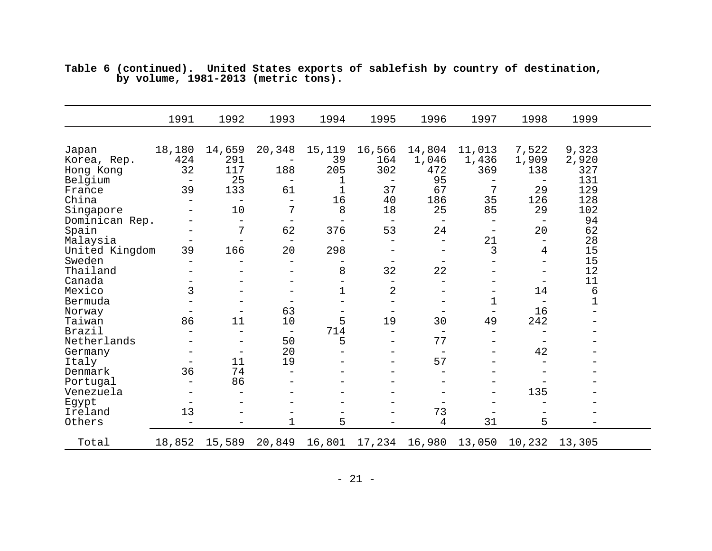|                | 1991                     | 1992                     | 1993                     | 1994              | 1995                     | 1996                     | 1997              | 1998                     | 1999   |  |
|----------------|--------------------------|--------------------------|--------------------------|-------------------|--------------------------|--------------------------|-------------------|--------------------------|--------|--|
| Japan          | 18,180                   | 14,659                   | 20,348                   | 15,119            | 16,566                   | 14,804                   | 11,013            | 7,522                    | 9,323  |  |
| Korea, Rep.    | 424                      | 291                      |                          | 39                | 164                      | 1,046                    | 1,436             | 1,909                    | 2,920  |  |
| Hong Kong      | 32                       | 117                      | 188                      | 205               | 302                      | 472                      | 369               | 138                      | 327    |  |
| Belgium        | $\qquad \qquad -$        | 25                       | $\overline{\phantom{0}}$ | 1                 | $\qquad \qquad -$        | 95                       | $\qquad \qquad -$ | $\overline{\phantom{0}}$ | 131    |  |
| France         | 39                       | 133                      | 61                       | $\overline{1}$    | 37                       | 67                       | 7                 | 29                       | 129    |  |
| China          | $\overline{\phantom{0}}$ | $\overline{\phantom{0}}$ |                          | 16                | 40                       | 186                      | 35                | 126                      | 128    |  |
| Singapore      |                          | 10                       | 7                        | 8                 | 18                       | 25                       | 85                | 29                       | 102    |  |
| Dominican Rep. |                          | $\overline{\phantom{m}}$ | $\overline{\phantom{0}}$ |                   | $\overline{\phantom{m}}$ | $\overline{\phantom{m}}$ | $\qquad \qquad -$ |                          | 94     |  |
| Spain          |                          | 7                        | 62                       | 376               | 53                       | 24                       | -                 | 20                       | 62     |  |
| Malaysia       |                          | $\equiv$                 |                          |                   |                          | $\qquad \qquad -$        | 21                |                          | 28     |  |
| United Kingdom | 39                       | 166                      | 20                       | 298               | $\qquad \qquad -$        | $\qquad \qquad -$        | 3                 | 4                        | 15     |  |
| Sweden         | $\overline{\phantom{0}}$ |                          |                          |                   |                          | $\overline{\phantom{0}}$ |                   | $\overline{\phantom{0}}$ | 15     |  |
| Thailand       |                          |                          |                          | 8                 | 32                       | 22                       |                   |                          | 12     |  |
| Canada         |                          |                          |                          |                   | $\overline{\phantom{0}}$ | $\overline{\phantom{0}}$ |                   | -                        | 11     |  |
| Mexico         | 3                        |                          | $\overline{\phantom{0}}$ | $\mathbf 1$       | $\overline{2}$           | $\qquad \qquad -$        | -                 | 14                       | 6      |  |
| Bermuda        |                          |                          | $\overline{\phantom{m}}$ |                   | $\overline{\phantom{0}}$ | $\qquad \qquad -$        | 1                 | $\overline{\phantom{m}}$ | 1      |  |
| Norway         | $\qquad \qquad -$        |                          | 63                       | $\qquad \qquad -$ | $\overline{\phantom{m}}$ | $\overline{\phantom{m}}$ | $\qquad \qquad -$ | 16                       |        |  |
| Taiwan         | 86                       | 11                       | 10                       | 5                 | 19                       | 30                       | 49                | 242                      |        |  |
| Brazil         | $\overline{\phantom{0}}$ |                          | $\overline{\phantom{0}}$ | 714               |                          |                          | —                 |                          |        |  |
| Netherlands    |                          |                          | 50                       | 5                 |                          | 77                       |                   |                          |        |  |
| Germany        |                          |                          | 20                       |                   |                          |                          |                   | 42                       |        |  |
| Italy          |                          | 11                       | 19                       |                   |                          | 57                       |                   |                          |        |  |
| Denmark        | 36                       | 74                       |                          |                   |                          | —                        |                   |                          |        |  |
| Portugal       | $\qquad \qquad -$        | 86                       |                          |                   |                          | -                        |                   |                          |        |  |
| Venezuela      |                          |                          |                          |                   |                          | $\overline{\phantom{0}}$ | $\qquad \qquad -$ | 135                      |        |  |
| Egypt          |                          |                          |                          |                   |                          |                          | $\qquad \qquad -$ |                          |        |  |
| Ireland        | 13                       |                          | $\overline{\phantom{0}}$ |                   |                          | 73                       |                   |                          |        |  |
| Others         | $\overline{\phantom{0}}$ |                          | 1                        | 5                 |                          | 4                        | 31                | 5                        |        |  |
| Total          | 18,852                   | 15,589                   | 20,849                   | 16,801            | 17,234                   | 16,980                   | 13,050            | 10,232                   | 13,305 |  |

**Table 6 (continued). United States exports of sablefish by country of destination, by volume, 1981-2013 (metric tons).**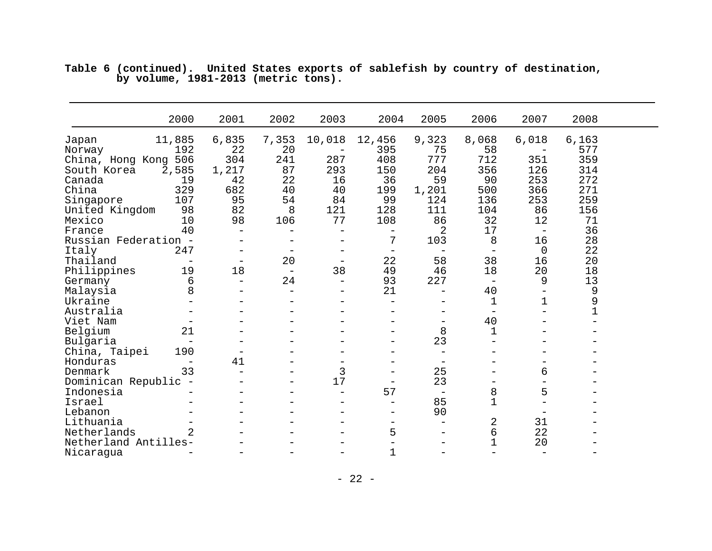|                                                     | 2000                           | 2001                                                       | 2002                           | 2003                                | 2004                                         | 2005                                                       | 2006                                | 2007                                                | 2008                     |  |
|-----------------------------------------------------|--------------------------------|------------------------------------------------------------|--------------------------------|-------------------------------------|----------------------------------------------|------------------------------------------------------------|-------------------------------------|-----------------------------------------------------|--------------------------|--|
| Japan<br>Norway<br>China, Hong Kong 506             | 11,885<br>192                  | 6,835<br>22<br>304                                         | 7,353<br>20<br>241             | 10,018<br>-<br>287                  | 12,456<br>395<br>408                         | 9,323<br>75<br>777                                         | 8,068<br>58<br>712                  | 6,018<br>351                                        | 6,163<br>577<br>359      |  |
| South Korea<br>Canada<br>China                      | 2,585<br>19<br>329<br>107      | 1,217<br>42<br>682<br>95                                   | 87<br>22<br>40<br>54           | 293<br>16<br>40<br>84               | 150<br>36<br>199<br>99                       | 204<br>59<br>1,201<br>124                                  | 356<br>90<br>500<br>136             | 126<br>253<br>366<br>253                            | 314<br>272<br>271<br>259 |  |
| Singapore<br>United Kingdom<br>Mexico               | 98<br>10<br>40                 | 82<br>98<br>$\qquad \qquad -$                              | 8<br>106                       | 121<br>77                           | 128<br>108                                   | 111<br>86<br>2                                             | 104<br>32<br>17                     | 86<br>12                                            | 156<br>71<br>36          |  |
| France<br>Russian Federation -<br>Italy<br>Thailand | 247                            | $\overline{\phantom{0}}$                                   | $\overline{\phantom{0}}$<br>20 |                                     | 7<br>$\overline{\phantom{0}}$<br>22          | 103<br>$\overline{\phantom{a}}$<br>58                      | 8<br>$\overline{\phantom{0}}$<br>38 | $\overline{\phantom{m}}$<br>16<br>$\mathsf 0$<br>16 | 28<br>22<br>20           |  |
| Philippines<br>Germany                              | 19<br>6                        | $\qquad \qquad -$<br>18<br>$\overline{\phantom{m}}$        | $\qquad \qquad -$<br>24        | -<br>38<br>$\overline{\phantom{0}}$ | 49<br>93                                     | 46<br>227                                                  | 18<br>$\overline{\phantom{m}}$      | 20<br>9                                             | 18<br>13                 |  |
| Malaysia<br>Ukraine<br>Australia                    | 8                              |                                                            | $\overline{\phantom{0}}$       | $\equiv$                            | 21<br>$\qquad \qquad -$                      | $\overline{\phantom{0}}$                                   | 40<br>1                             | $\overline{\phantom{0}}$<br>1                       | 9<br>9<br>$\mathbf 1$    |  |
| Viet Nam<br>Belgium<br>Bulgaria                     | 21<br>$\qquad \qquad -$        |                                                            |                                |                                     | $\qquad \qquad -$<br>$\qquad \qquad -$       | -<br>8<br>23                                               | 40<br>1                             |                                                     |                          |  |
| China, Taipei<br>Honduras<br>Denmark                | 190<br>$\qquad \qquad -$<br>33 | $\overline{\phantom{0}}$<br>41<br>$\overline{\phantom{0}}$ | -                              | 3                                   | $\qquad \qquad -$                            | $\overline{\phantom{0}}$<br>$\overline{\phantom{m}}$<br>25 | —                                   | 6                                                   |                          |  |
| Dominican Republic -<br>Indonesia<br>Israel         |                                |                                                            | -                              | 17                                  | $\qquad \qquad -$<br>57<br>$\qquad \qquad -$ | 23<br>$\qquad \qquad -$<br>85                              | —<br>8<br>1                         | 5                                                   |                          |  |
| Lebanon<br>Lithuania<br>Netherlands                 | 2                              |                                                            |                                |                                     | $\qquad \qquad -$<br>5                       | 90<br>$\overline{\phantom{m}}$<br>—                        | 2<br>б                              | 31<br>22                                            |                          |  |
| Netherland Antilles-<br>Nicaragua                   |                                |                                                            |                                |                                     | 1                                            | -                                                          | $\mathbf 1$                         | 20<br>$\overline{\phantom{0}}$                      |                          |  |

|                                     |  |  |  |  | Table 6 (continued). United States exports of sablefish by country of destination, |
|-------------------------------------|--|--|--|--|------------------------------------------------------------------------------------|
| by volume, 1981-2013 (metric tons). |  |  |  |  |                                                                                    |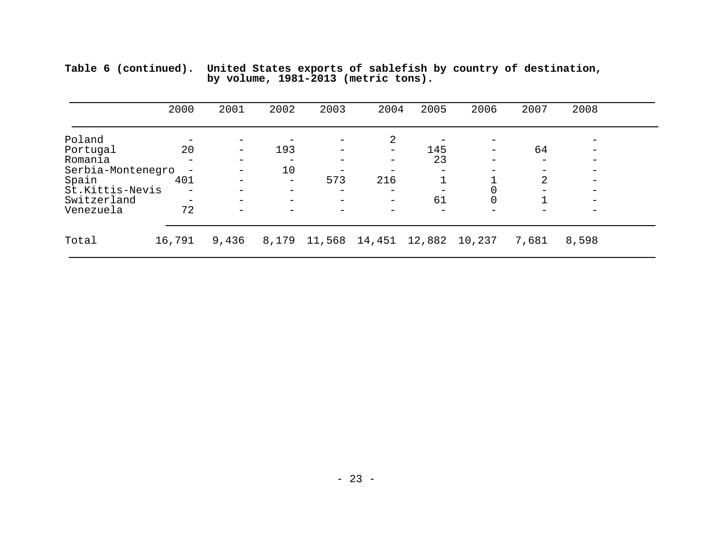|                   | 2000   | 2001                     | 2002                     | 2003   | 2004            | 2005   | 2006   | 2007                     | 2008                     |  |
|-------------------|--------|--------------------------|--------------------------|--------|-----------------|--------|--------|--------------------------|--------------------------|--|
| Poland            |        |                          |                          |        | 2               |        |        |                          | $\overline{\phantom{m}}$ |  |
| Portugal          | 20     | -                        | 193                      |        |                 | 145    |        | 64                       | $\qquad \qquad -$        |  |
| Romania           |        | $\overline{\phantom{0}}$ | $\overline{\phantom{m}}$ |        | $\qquad \qquad$ | 23     |        | $\overline{\phantom{0}}$ | $\qquad \qquad -$        |  |
| Serbia-Montenegro |        | -                        | 10                       |        |                 |        |        |                          | $\qquad \qquad -$        |  |
| Spain             | 401    |                          | $\overline{\phantom{m}}$ | 573    | 216             |        |        | 2                        | $\qquad \qquad -$        |  |
| St.Kittis-Nevis   | -      |                          | $\overline{\phantom{m}}$ |        | —               |        |        |                          | $\overline{\phantom{m}}$ |  |
| Switzerland       |        |                          | $\overline{\phantom{m}}$ |        |                 | 61     |        |                          |                          |  |
| Venezuela         | 72     |                          |                          |        |                 |        |        |                          | $\overline{\phantom{m}}$ |  |
| Total             | 16,791 | 9,436                    | 8,179                    | 11,568 | 14,451          | 12,882 | 10,237 | 7,681                    | 8,598                    |  |

**Table 6 (continued). United States exports of sablefish by country of destination, by volume, 1981-2013 (metric tons).**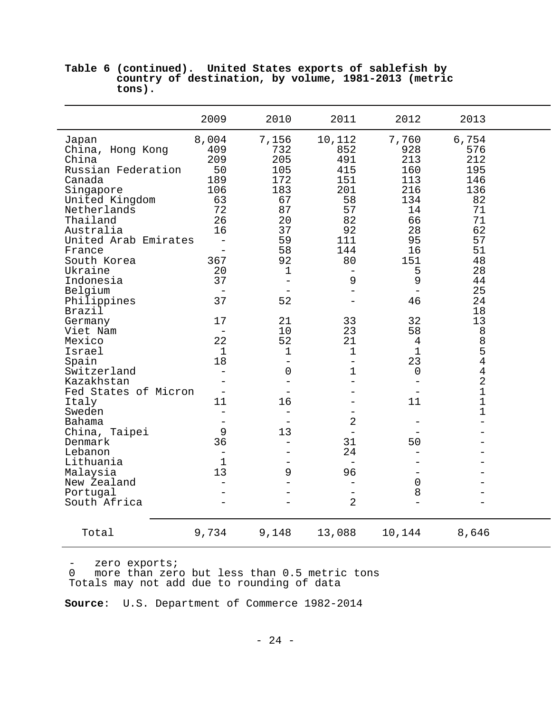|                                                                                                                                                                                                                                                                                                                                                                                                                                                                                                         | 2009                                                                                                                                                                                                                                                                                                      | 2010                                                                                                                                                                                                                                                                                                | 2011                                                                                                                                                                                                                                                                                                                   | 2012                                                                                                                                                                                                                                                       | 2013                                                                                                                                                                                                                                                                   |  |
|---------------------------------------------------------------------------------------------------------------------------------------------------------------------------------------------------------------------------------------------------------------------------------------------------------------------------------------------------------------------------------------------------------------------------------------------------------------------------------------------------------|-----------------------------------------------------------------------------------------------------------------------------------------------------------------------------------------------------------------------------------------------------------------------------------------------------------|-----------------------------------------------------------------------------------------------------------------------------------------------------------------------------------------------------------------------------------------------------------------------------------------------------|------------------------------------------------------------------------------------------------------------------------------------------------------------------------------------------------------------------------------------------------------------------------------------------------------------------------|------------------------------------------------------------------------------------------------------------------------------------------------------------------------------------------------------------------------------------------------------------|------------------------------------------------------------------------------------------------------------------------------------------------------------------------------------------------------------------------------------------------------------------------|--|
| Japan<br>China, Hong Kong<br>China<br>Russian Federation<br>Canada<br>Singapore<br>United Kingdom<br>Netherlands<br>Thailand<br>Australia<br>United Arab Emirates<br>France<br>South Korea<br>Ukraine<br>Indonesia<br>Belgium<br>Philippines<br>Brazil<br>Germany<br>Viet Nam<br>Mexico<br>Israel<br>Spain<br>Switzerland<br>Kazakhstan<br>Fed States of Micron<br>Italy<br>Sweden<br>Bahama<br>China, Taipei<br>Denmark<br>Lebanon<br>Lithuania<br>Malaysia<br>New Zealand<br>Portugal<br>South Africa | 8,004<br>409<br>209<br>50<br>189<br>106<br>63<br>72<br>26<br>16<br>$\overline{\phantom{m}}$<br>$\equiv$<br>367<br>20<br>37<br>37<br>17<br>$\qquad \qquad -$<br>22<br>$\mathbf 1$<br>18<br>$\qquad \qquad -$<br>$\qquad \qquad -$<br>11<br>$\rightarrow$<br>$\overline{\phantom{0}}$<br>9<br>36<br>1<br>13 | 7,156<br>732<br>205<br>105<br>172<br>183<br>67<br>87<br>20<br>37<br>59<br>58<br>92<br>$\mathbf 1$<br>$\equiv$<br>52<br>21<br>10<br>52<br>$\mathbf{1}$<br>$\overline{\phantom{0}}$<br>$\mathbf 0$<br>$\overline{\phantom{m}}$<br>16<br>$\qquad \qquad -$<br>13<br>$\overline{\phantom{0}}$<br>-<br>9 | 10,112<br>852<br>491<br>415<br>151<br>201<br>58<br>57<br>82<br>92<br>111<br>144<br>80<br>9<br>33<br>23<br>21<br>$\mathbf 1$<br>$\bar{ }$<br>$\mathbf 1$<br>$\overline{\phantom{0}}$<br>$\overline{2}$<br>31<br>24<br>$\overline{\phantom{m}}$<br>96<br>$\qquad \qquad -$<br>$\overline{\phantom{0}}$<br>$\overline{2}$ | 7,760<br>928<br>213<br>160<br>113<br>216<br>134<br>14<br>66<br>28<br>95<br>16<br>151<br>5<br>9<br>46<br>32<br>58<br>$\overline{4}$<br>$\mathbf 1$<br>23<br>0<br>$\overline{\phantom{0}}$<br>$\qquad \qquad -$<br>11<br>50<br>-<br>$\mathsf{O}\xspace$<br>8 | 6,754<br>576<br>212<br>195<br>146<br>136<br>82<br>71<br>71<br>62<br>57<br>51<br>48<br>28<br>44<br>25<br>24<br>18<br>13<br>8<br>8<br>5<br>$\overline{4}$<br>$\overline{4}$<br>$\overline{2}$<br>$\mathbf 1$<br>$\mathbf{1}$<br>$\mathbf{1}$<br>$\overline{\phantom{0}}$ |  |
| Total                                                                                                                                                                                                                                                                                                                                                                                                                                                                                                   | 9,734                                                                                                                                                                                                                                                                                                     | 9,148                                                                                                                                                                                                                                                                                               | 13,088                                                                                                                                                                                                                                                                                                                 | 10,144                                                                                                                                                                                                                                                     | 8,646                                                                                                                                                                                                                                                                  |  |

# **Table 6 (continued). United States exports of sablefish by country of destination, by volume, 1981-2013 (metric tons).**

- zero exports; 0 more than zero but less than 0.5 metric tons Totals may not add due to rounding of data

**Source**: U.S. Department of Commerce 1982-2014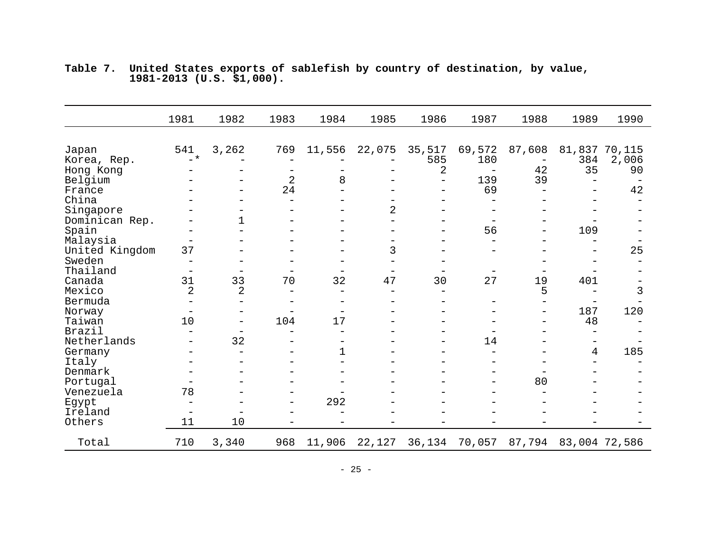|                | 1981                     | 1982                     | 1983              | 1984   | 1985                     | 1986                     | 1987   | 1988   | 1989 | 1990           |
|----------------|--------------------------|--------------------------|-------------------|--------|--------------------------|--------------------------|--------|--------|------|----------------|
|                |                          |                          |                   |        |                          |                          |        |        |      |                |
| Japan          | 541                      | 3,262                    | 769               | 11,556 | 22,075                   | 35,517                   | 69,572 | 87,608 |      | 81,837 70,115  |
| Korea, Rep.    | $-$ *                    |                          |                   |        |                          | 585                      | 180    |        | 384  | 2,006          |
| Hong Kong      |                          |                          | $\qquad \qquad -$ |        |                          | 2                        |        | 42     | 35   | 90             |
| Belgium        |                          |                          | $\overline{2}$    | 8      |                          | $\overline{\phantom{0}}$ | 139    | 39     |      |                |
| France         |                          |                          | 24                |        |                          |                          | 69     |        |      | 42             |
| China          |                          |                          |                   |        |                          |                          |        |        |      |                |
| Singapore      |                          |                          |                   |        | $\overline{2}$           |                          |        |        |      |                |
| Dominican Rep. |                          | 1                        |                   |        |                          |                          |        |        |      |                |
| Spain          |                          |                          |                   |        | $\overline{\phantom{0}}$ |                          | 56     |        | 109  |                |
| Malaysia       | $\overline{\phantom{0}}$ |                          |                   |        | $\overline{\phantom{0}}$ |                          |        |        |      |                |
| United Kingdom | 37                       |                          |                   |        | 3                        |                          |        |        |      | 25             |
| Sweden         | —                        |                          |                   |        |                          |                          |        |        |      |                |
| Thailand       | $\overline{\phantom{0}}$ |                          |                   |        |                          |                          |        |        |      |                |
| Canada         | 31                       | 33                       | 70                | 32     | 47                       | 30                       | 27     | 19     | 401  |                |
| Mexico         | $\overline{2}$           | 2                        |                   |        |                          |                          |        | 5      |      | $\mathfrak{Z}$ |
| Bermuda        |                          |                          |                   |        |                          |                          |        |        |      |                |
| Norway         | $\qquad \qquad -$        |                          |                   |        |                          |                          |        |        | 187  | 120            |
| Taiwan         | 10                       | $\overline{\phantom{0}}$ | 104               | 17     | $\overline{\phantom{0}}$ |                          |        |        | 48   |                |
| Brazil         |                          |                          |                   |        |                          |                          |        |        |      |                |
| Netherlands    |                          | 32                       |                   |        |                          |                          | 14     |        |      |                |
| Germany        |                          |                          |                   | 1      |                          |                          |        |        | 4    | 185            |
| Italy          |                          |                          |                   |        |                          |                          |        |        |      |                |
| Denmark        |                          |                          |                   |        |                          |                          |        |        |      |                |
| Portugal       |                          |                          |                   |        |                          |                          |        | 80     |      |                |
| Venezuela      | 78                       |                          |                   |        |                          |                          |        |        |      |                |
| Egypt          | $\overline{\phantom{0}}$ |                          | $\qquad \qquad -$ | 292    |                          |                          |        |        |      |                |
| Ireland        | $\equiv$                 |                          |                   |        |                          |                          |        |        |      |                |
| Others         | 11                       | 10                       |                   |        |                          |                          |        |        |      |                |
| Total          | 710                      | 3,340                    | 968               | 11,906 | 22,127                   | 36,134                   | 70,057 | 87,794 |      | 83,004 72,586  |

**Table 7. United States exports of sablefish by country of destination, by value, 1981-2013 (U.S. \$1,000).**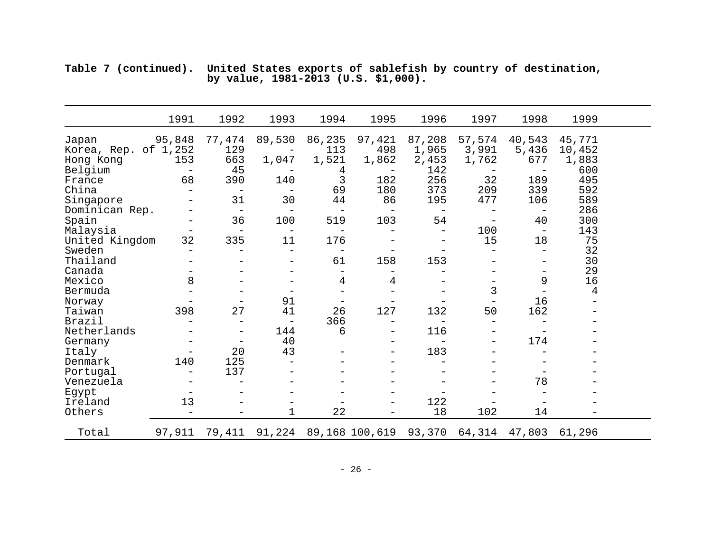**Table 7 (continued). United States exports of sablefish by country of destination, by value, 1981-2013 (U.S. \$1,000).**

|                               | 1991              | 1992                     | 1993                     | 1994                     | 1995                     | 1996                     | 1997                     | 1998                            | 1999             |  |
|-------------------------------|-------------------|--------------------------|--------------------------|--------------------------|--------------------------|--------------------------|--------------------------|---------------------------------|------------------|--|
| Japan<br>Korea, Rep. of 1,252 | 95,848            | 77,474<br>129            | 89,530                   | 86,235<br>113            | 97,421<br>498            | 87,208<br>1,965          | 57,574<br>3,991          | 40,543<br>5,436                 | 45,771<br>10,452 |  |
| Hong Kong                     | 153               | 663                      | 1,047                    | 1,521                    | 1,862                    | 2,453                    | 1,762                    | 677                             | 1,883            |  |
| Belgium                       | $\qquad \qquad -$ | 45                       |                          | 4<br>3                   |                          | 142                      | $\overline{\phantom{m}}$ | $\overline{\phantom{m}}$<br>189 | 600<br>495       |  |
| France<br>China               | 68                | 390                      | 140                      | 69                       | 182<br>180               | 256<br>373               | 32<br>209                | 339                             | 592              |  |
|                               |                   | 31                       | 30                       | 44                       | 86                       | 195                      | 477                      | 106                             | 589              |  |
| Singapore<br>Dominican Rep.   |                   | $\qquad \qquad -$        |                          |                          |                          |                          |                          | $\qquad \qquad -$               | 286              |  |
| Spain                         |                   | 36                       | 100                      | 519                      | 103                      | 54                       | $\qquad \qquad -$        | 40                              | 300              |  |
| Malaysia                      | -                 | $\qquad \qquad -$        |                          |                          |                          | $\overline{\phantom{0}}$ | 100                      | $\overline{\phantom{0}}$        | 143              |  |
| United Kingdom                | 32                | 335                      | 11                       | 176                      |                          | $\qquad \qquad -$        | 15                       | 18                              | 75               |  |
| Sweden                        |                   |                          |                          |                          |                          |                          |                          |                                 | 32               |  |
| Thailand                      |                   |                          |                          | 61                       | 158                      | 153                      |                          |                                 | 30               |  |
| Canada                        |                   |                          |                          |                          |                          |                          |                          |                                 | 29               |  |
| Mexico                        | 8                 |                          |                          | 4                        | 4                        |                          |                          | 9                               | 16               |  |
| Bermuda                       |                   |                          |                          |                          |                          |                          | 3                        | $\overline{\phantom{0}}$        | 4                |  |
| Norway                        |                   |                          | 91                       | $\overline{\phantom{m}}$ |                          |                          | $\qquad \qquad -$        | 16                              |                  |  |
| Taiwan                        | 398               | 27                       | 41                       | 26                       | 127                      | 132                      | 50                       | 162                             |                  |  |
| Brazil                        |                   | $\overline{\phantom{0}}$ | $\overline{\phantom{0}}$ | 366                      | $\overline{\phantom{0}}$ | $\overline{\phantom{0}}$ | $\overline{\phantom{0}}$ |                                 |                  |  |
| Netherlands                   |                   |                          | 144                      | 6                        | $\qquad \qquad -$        | 116                      |                          |                                 |                  |  |
| Germany                       |                   | $\overline{\phantom{m}}$ | 40                       |                          |                          | $\overline{\phantom{0}}$ |                          | 174                             |                  |  |
| Italy                         |                   | 20                       | 43                       |                          | $\overline{\phantom{0}}$ | 183                      |                          |                                 |                  |  |
| Denmark                       | 140               | 125                      |                          |                          |                          |                          |                          |                                 |                  |  |
| Portugal                      |                   | 137                      |                          |                          |                          |                          |                          |                                 |                  |  |
| Venezuela                     |                   |                          |                          |                          |                          |                          |                          | 78                              |                  |  |
| Egypt                         |                   |                          |                          |                          |                          |                          |                          |                                 |                  |  |
| Ireland                       | 13                |                          |                          |                          |                          | 122                      |                          |                                 |                  |  |
| Others                        |                   |                          |                          | 22                       |                          | 18                       | 102                      | 14                              |                  |  |
| Total                         | 97,911            | 79,411                   | 91,224                   |                          | 89,168 100,619           | 93,370                   | 64,314                   | 47,803                          | 61,296           |  |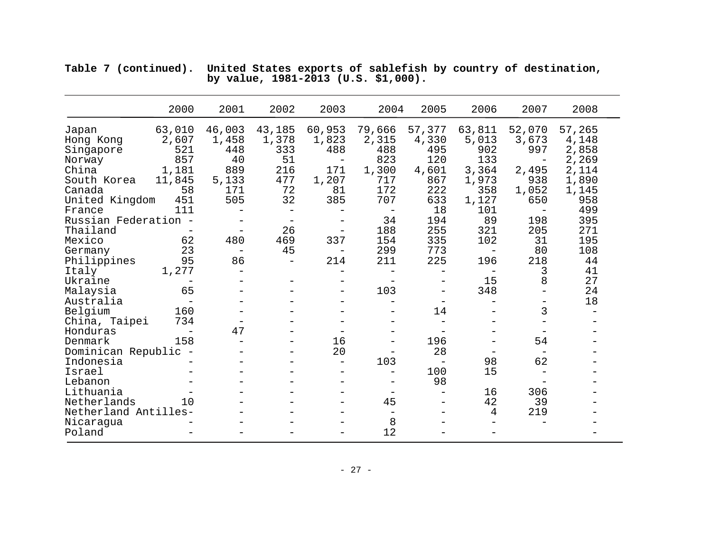|                      | 2000                     | 2001                     | 2002                     | 2003                     | 2004              | 2005                     | 2006                     | 2007            | 2008            |
|----------------------|--------------------------|--------------------------|--------------------------|--------------------------|-------------------|--------------------------|--------------------------|-----------------|-----------------|
| Japan<br>Hong Kong   | 63,010<br>2,607          | 46,003<br>1,458          | 43,185<br>1,378          | 60,953<br>1,823          | 79,666<br>2,315   | 57,377<br>4,330          | 63,811<br>5,013          | 52,070<br>3,673 | 57,265<br>4,148 |
| Singapore            | 521                      | 448                      | 333                      | 488                      | 488               | 495                      | 902                      | 997             | 2,858           |
| Norway               | 857                      | 40                       | 51                       | $\overline{\phantom{m}}$ | 823               | 120                      | 133                      |                 | 2,269           |
| China                | 1,181                    | 889                      | 216                      | 171                      | 1,300             | 4,601                    | 3,364                    | 2,495           | 2,114           |
| South Korea          | 11,845                   | 5,133                    | 477                      | 1,207                    | 717               | 867                      | 1,973                    | 938             | 1,890           |
| Canada               | 58                       | 171                      | 72                       | 81                       | 172               | 222                      | 358                      | 1,052           | 1,145           |
| United Kingdom       | 451                      | 505                      | 32                       | 385                      | 707               | 633                      | 1,127                    | 650             | 958             |
| France               | 111                      |                          |                          |                          |                   | 18                       | 101                      |                 | 499             |
| Russian Federation - |                          |                          |                          |                          | 34                | 194                      | 89                       | 198             | 395             |
| Thailand             |                          |                          | 26                       | $\overline{\phantom{0}}$ | 188               | 255                      | 321                      | 205             | 271             |
| Mexico               | 62                       | 480                      | 469                      | 337                      | 154               | 335                      | 102                      | 31              | 195             |
| Germany              | 23                       | $\overline{\phantom{0}}$ | 45                       | $\overline{\phantom{0}}$ | 299               | 773                      | $\overline{\phantom{m}}$ | 80              | 108             |
| Philippines          | 95                       | 86                       | $\overline{\phantom{m}}$ | 214                      | 211               | 225                      | 196                      | 218             | 44              |
| Italy                | 1,277                    |                          |                          |                          |                   | $\overline{\phantom{0}}$ | $\overline{\phantom{0}}$ | 3               | 41              |
| Ukraine              | $\qquad \qquad -$        |                          |                          | $\qquad \qquad -$        |                   | -                        | 15                       | 8               | 27              |
| Malaysia             | 65                       |                          |                          | $\overline{\phantom{0}}$ | 103               |                          | 348                      |                 | 24              |
| Australia            | $\qquad \qquad -$        |                          |                          |                          |                   | $\qquad \qquad -$        |                          |                 | 18              |
| Belgium              | 160                      |                          |                          |                          |                   | 14                       |                          | 3               |                 |
| China, Taipei        | 734                      |                          |                          |                          |                   |                          |                          |                 |                 |
| Honduras             | $\overline{\phantom{0}}$ | 47                       |                          |                          |                   |                          |                          |                 |                 |
| Denmark              | 158                      | $\qquad \qquad -$        |                          | 16                       |                   | 196                      |                          | 54              |                 |
| Dominican Republic - |                          |                          |                          | 20                       |                   | 28                       |                          |                 |                 |
| Indonesia            |                          |                          |                          | $\qquad \qquad -$        | 103               | $\overline{\phantom{m}}$ | 98                       | 62              |                 |
| Israel               |                          |                          |                          |                          | $\qquad \qquad -$ | 100                      | 15                       |                 |                 |
| Lebanon              |                          | $\qquad \qquad -$        |                          |                          |                   | 98                       |                          |                 |                 |
| Lithuania            |                          | $\overline{\phantom{0}}$ |                          | $\equiv$                 |                   | $\overline{\phantom{0}}$ | 16                       | 306             |                 |
| Netherlands          | 10                       |                          |                          |                          | 45                |                          | 42                       | 39              |                 |
| Netherland Antilles- |                          |                          |                          |                          | $\qquad \qquad -$ |                          | 4                        | 219             |                 |
| Nicaragua            |                          |                          |                          |                          | 8                 |                          |                          |                 |                 |
| Poland               |                          |                          |                          |                          | 12                |                          |                          |                 |                 |

| Table 7 (continued). United States exports of sablefish by country of destination, |  |
|------------------------------------------------------------------------------------|--|
| by value, 1981-2013 (U.S. \$1,000).                                                |  |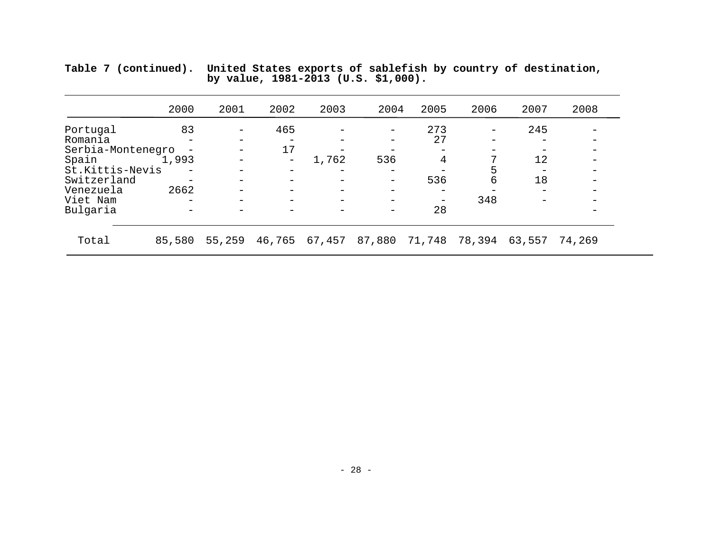|                   | 2000   | 2001   | 2002                     | 2003   | 2004   | 2005   | 2006   | 2007   | 2008   |
|-------------------|--------|--------|--------------------------|--------|--------|--------|--------|--------|--------|
| Portugal          | 83     |        | 465                      |        |        | 273    |        | 245    |        |
| Romania           |        |        |                          |        |        | 27     |        |        |        |
| Serbia-Montenegro |        |        | 17                       |        |        |        |        |        |        |
| Spain             | 1,993  |        | $\qquad \qquad -$        | 1,762  | 536    | 4      |        | 12     |        |
| St.Kittis-Nevis   |        |        | $\overline{\phantom{m}}$ |        |        |        | 5      |        |        |
| Switzerland       |        |        |                          |        |        | 536    | 6      | 18     |        |
| Venezuela         | 2662   |        |                          |        |        |        |        |        |        |
| Viet Nam          |        |        |                          |        |        |        | 348    |        |        |
| Bulgaria          |        |        |                          |        |        | 28     |        |        |        |
| Total             | 85,580 | 55,259 | 46,765                   | 67,457 | 87,880 | 71,748 | 78,394 | 63,557 | 74,269 |

**Table 7 (continued). United States exports of sablefish by country of destination, by value, 1981-2013 (U.S. \$1,000).**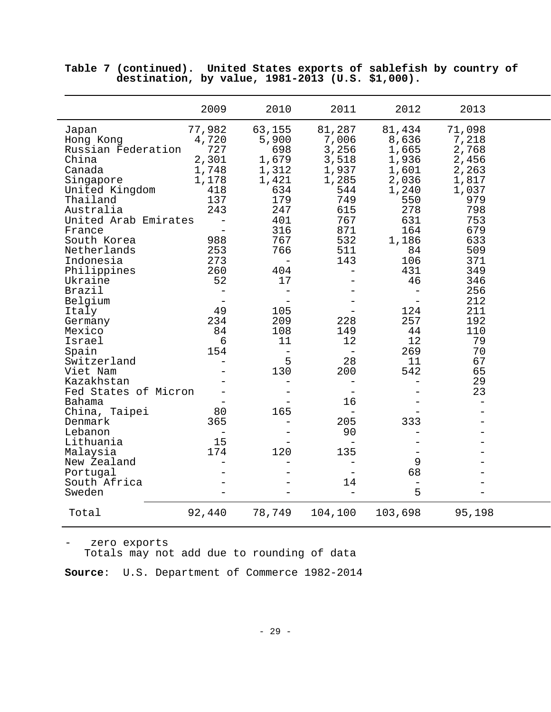|                                                                                                                                                                                                                                                                                                                                                                                                                                                                                                  | 2009                                                                                                                                                                                                                           | 2010                                                                                                                                                                                                                                                 | 2011                                                                                                                                                                                                 | 2012                                                                                                                                                                                                                         | 2013                                                                                                                                                                                               |  |
|--------------------------------------------------------------------------------------------------------------------------------------------------------------------------------------------------------------------------------------------------------------------------------------------------------------------------------------------------------------------------------------------------------------------------------------------------------------------------------------------------|--------------------------------------------------------------------------------------------------------------------------------------------------------------------------------------------------------------------------------|------------------------------------------------------------------------------------------------------------------------------------------------------------------------------------------------------------------------------------------------------|------------------------------------------------------------------------------------------------------------------------------------------------------------------------------------------------------|------------------------------------------------------------------------------------------------------------------------------------------------------------------------------------------------------------------------------|----------------------------------------------------------------------------------------------------------------------------------------------------------------------------------------------------|--|
| Japan<br>Hong Kong<br>Russian Federation<br>China<br>Canada<br>Singapore<br>United Kingdom<br>Thailand<br>Australia<br>United Arab Emirates<br>France<br>South Korea<br>Netherlands<br>Indonesia<br>Philippines<br>Ukraine<br>Brazil<br>Belgium<br>Italy<br>Germany<br>Mexico<br>Israel<br>Spain<br>Switzerland<br>Viet Nam<br>Kazakhstan<br>Fed States of Micron<br>Bahama<br>China, Taipei<br>Denmark<br>Lebanon<br>Lithuania<br>Malaysia<br>New Zealand<br>Portugal<br>South Africa<br>Sweden | 77,982<br>4,720<br>727<br>2,301<br>1,748<br>1,178<br>418<br>137<br>243<br>988<br>253<br>273<br>260<br>52<br>$\qquad \qquad -$<br>$\overline{\phantom{m}}$<br>49<br>234<br>84<br>6<br>154<br>$\equiv$<br>80<br>365<br>15<br>174 | 63,155<br>5,900<br>698<br>1,679<br>1,312<br>1,421<br>634<br>179<br>247<br>401<br>316<br>767<br>766<br>$\equiv$<br>404<br>17<br>$\equiv$<br>105<br>209<br>108<br>11<br>$\overline{\phantom{m}}$<br>5<br>130<br>$\overline{\phantom{0}}$<br>165<br>120 | 81,287<br>7,006<br>3,256<br>3,518<br>1,937<br>1,285<br>544<br>749<br>615<br>767<br>871<br>532<br>511<br>143<br>228<br>149<br>12<br>28<br>200<br>$\equiv$<br>16<br>205<br>90<br>$\equiv$<br>135<br>14 | 81,434<br>8,636<br>1,665<br>1,936<br>1,601<br>2,036<br>1,240<br>550<br>278<br>631<br>164<br>1,186<br>84<br>106<br>431<br>46<br>124<br>257<br>44<br>12<br>269<br>11<br>542<br>333<br>9<br>68<br>$\overline{\phantom{0}}$<br>5 | 71,098<br>7,218<br>2,768<br>2,456<br>2,263<br>1,817<br>1,037<br>979<br>798<br>753<br>679<br>633<br>509<br>371<br>349<br>346<br>256<br>212<br>211<br>192<br>110<br>79<br>70<br>67<br>65<br>29<br>23 |  |
| Total                                                                                                                                                                                                                                                                                                                                                                                                                                                                                            | 92,440                                                                                                                                                                                                                         | 78,749                                                                                                                                                                                                                                               | 104,100                                                                                                                                                                                              | 103,698                                                                                                                                                                                                                      | 95,198                                                                                                                                                                                             |  |

**Table 7 (continued). United States exports of sablefish by country of destination, by value, 1981-2013 (U.S. \$1,000).**

- zero exports Totals may not add due to rounding of data

**Source**: U.S. Department of Commerce 1982-2014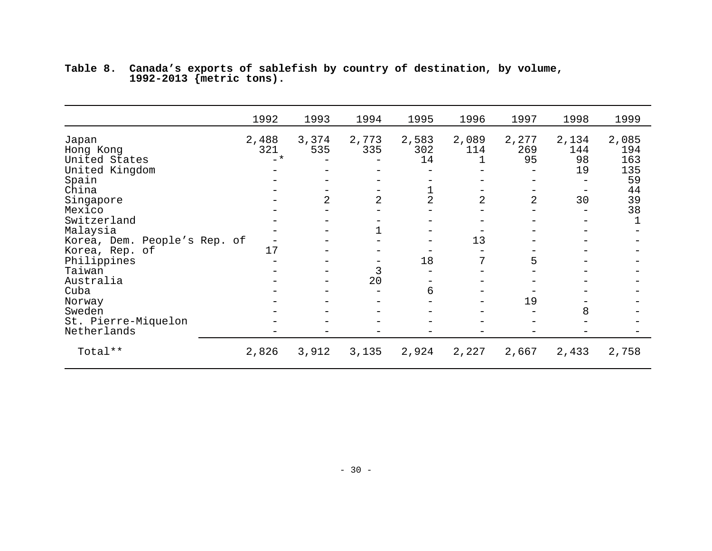|                                                                | 1992                  | 1993         | 1994           | 1995               | 1996              | 1997               | 1998                     | 1999                             |
|----------------------------------------------------------------|-----------------------|--------------|----------------|--------------------|-------------------|--------------------|--------------------------|----------------------------------|
| Japan<br>Hong Kong<br>United States<br>United Kingdom<br>Spain | 2,488<br>321<br>$-$ * | 3,374<br>535 | 2,773<br>335   | 2,583<br>302<br>14 | 2,089<br>114<br>1 | 2,277<br>269<br>95 | 2,134<br>144<br>98<br>19 | 2,085<br>194<br>163<br>135<br>59 |
| China<br>Singapore<br>Mexico                                   |                       | 2            | $\overline{2}$ | 2                  | 2                 | $\overline{2}$     | 30                       | 44<br>39<br>38                   |
| Switzerland<br>Malaysia                                        |                       |              |                |                    |                   |                    |                          |                                  |
| Korea, Dem. People's Rep. of<br>Korea, Rep. of<br>Philippines  | 17                    |              | -              | 18                 | 13                | 5                  |                          |                                  |
| Taiwan<br>Australia                                            |                       |              | 3<br>20        |                    |                   |                    |                          |                                  |
| Cuba<br>Norway                                                 |                       |              |                | 6                  |                   | 19                 |                          |                                  |
| Sweden<br>St. Pierre-Miquelon<br>Netherlands                   |                       |              |                |                    |                   |                    | 8                        |                                  |
| Total**                                                        | 2,826                 | 3,912        | 3,135          | 2,924              | 2,227             | 2,667              | 2,433                    | 2,758                            |

**Table 8. Canada's exports of sablefish by country of destination, by volume, 1992-2013 {metric tons).**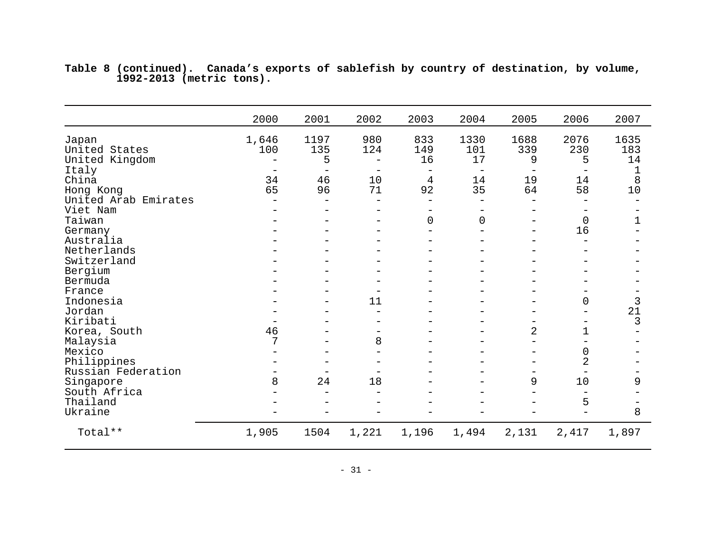|                      | 2000                     | 2001                     | 2002                     | 2003                     | 2004              | 2005           | 2006                     | 2007         |
|----------------------|--------------------------|--------------------------|--------------------------|--------------------------|-------------------|----------------|--------------------------|--------------|
| Japan                | 1,646                    | 1197                     | 980                      | 833                      | 1330              | 1688           | 2076                     | 1635         |
| United States        | 100                      | 135                      | 124                      | 149                      | 101               | 339            | 230                      | 183          |
| United Kingdom       |                          | 5                        | $\overline{\phantom{0}}$ | 16                       | 17                | 9              | 5                        | 14           |
| Italy                | $\overline{\phantom{m}}$ |                          | $\overline{\phantom{m}}$ | $\overline{\phantom{m}}$ | $\qquad \qquad -$ |                |                          | 1            |
| China                | 34                       | 46                       | 10                       | $\overline{4}$           | 14                | 19             | 14                       | 8            |
| Hong Kong            | 65                       | 96                       | 71                       | 92                       | 35                | 64             | 58                       | $10$         |
| United Arab Emirates |                          |                          |                          |                          |                   |                |                          |              |
| Viet Nam             |                          |                          |                          |                          |                   |                |                          |              |
| Taiwan               |                          |                          |                          | $\overline{0}$           | $\overline{0}$    |                | $\mathbf 0$              | $\mathbf{1}$ |
| Germany              |                          |                          |                          |                          |                   |                | 16                       |              |
| Australia            |                          | $\overline{\phantom{0}}$ |                          |                          |                   |                | $\overline{\phantom{0}}$ |              |
| Netherlands          |                          |                          |                          |                          |                   |                |                          |              |
| Switzerland          |                          |                          |                          |                          |                   |                |                          |              |
| Bergium              |                          |                          | $\overline{\phantom{0}}$ |                          |                   |                |                          |              |
| Bermuda              |                          |                          | $\overline{\phantom{0}}$ |                          | -                 |                |                          |              |
| France               |                          |                          | $\overline{\phantom{0}}$ |                          |                   |                |                          |              |
| Indonesia            |                          |                          | 11                       |                          |                   |                | 0                        | 3            |
| Jordan               |                          |                          |                          |                          |                   |                |                          | 21           |
| Kiribati             |                          |                          | $\equiv$                 |                          |                   |                | $\qquad \qquad -$        | 3            |
| Korea, South         | 46                       |                          | -                        |                          | -                 | $\overline{c}$ | 1                        |              |
| Malaysia             | 7                        |                          | 8                        |                          |                   |                |                          |              |
| Mexico               |                          |                          | $\overline{\phantom{0}}$ |                          |                   |                | 0                        |              |
| Philippines          |                          |                          | $\overline{\phantom{0}}$ |                          | —                 |                | $\overline{2}$           |              |
| Russian Federation   |                          |                          |                          |                          |                   |                | $\overline{\phantom{m}}$ |              |
| Singapore            | 8                        | 24                       | 18                       |                          |                   | 9              | 10                       | 9            |
| South Africa         |                          |                          |                          |                          |                   |                |                          |              |
| Thailand             |                          |                          |                          |                          |                   |                | 5                        |              |
| Ukraine              |                          |                          |                          |                          |                   |                |                          | 8            |
| Total **             | 1,905                    | 1504                     | 1,221                    | 1,196                    | 1,494             | 2,131          | 2,417                    | 1,897        |

**Table 8 (continued). Canada's exports of sablefish by country of destination, by volume, 1992-2013 (metric tons).**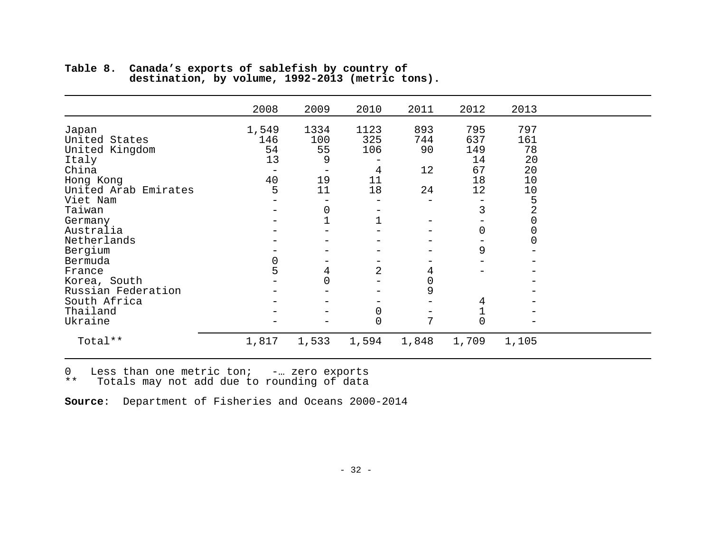|                        | 2008   | 2009            | 2010                           | 2011                | 2012           | 2013   |  |
|------------------------|--------|-----------------|--------------------------------|---------------------|----------------|--------|--|
|                        | 1,549  | 1334            | 1123                           | 893                 | 795            | 797    |  |
| Japan<br>United States | 146    | 100             | 325                            | 744                 | 637            | 161    |  |
| United Kingdom         | 54     | 55              | 106                            | 90                  | 149            | 78     |  |
| Italy                  | 13     | 9               |                                |                     | 14             | 20     |  |
| China                  |        |                 | 4                              | 12                  | 67             | 20     |  |
| Hong Kong              | 40     | 19              | 11                             |                     | 18             | 10     |  |
| United Arab Emirates   | 5      | 11              | 18                             | 24                  | 12             | 10     |  |
| Viet Nam               |        |                 | -                              |                     |                | 5      |  |
| Taiwan                 |        | 0               |                                |                     | 3              | 2      |  |
| Germany                |        |                 | $\qquad \qquad$<br>$\mathbf 1$ |                     |                | 0      |  |
| Australia              |        |                 |                                |                     | 0              |        |  |
| Netherlands            |        |                 |                                |                     |                | 0<br>0 |  |
|                        |        |                 |                                |                     | 9              |        |  |
| Bergium                |        | $\qquad \qquad$ | -                              |                     |                |        |  |
| Bermuda                | 0<br>5 |                 | 2                              |                     |                |        |  |
| France                 |        | 4               |                                | 4                   |                |        |  |
| Korea, South           |        |                 |                                | $\mathsf{O}\xspace$ |                |        |  |
| Russian Federation     |        |                 |                                | 9                   |                |        |  |
| South Africa           |        |                 |                                |                     | 4              |        |  |
| Thailand               |        |                 | 0                              |                     |                |        |  |
| Ukraine                |        |                 | $\overline{0}$                 | 7                   | $\overline{0}$ |        |  |
| Total**                | 1,817  | 1,533           | 1,594                          | 1,848               | 1,709          | 1,105  |  |

**Table 8. Canada's exports of sablefish by country of destination, by volume, 1992-2013 (metric tons).**

0 Less than one metric ton; -… zero exports

\*\* Totals may not add due to rounding of data

**Source**: Department of Fisheries and Oceans 2000-2014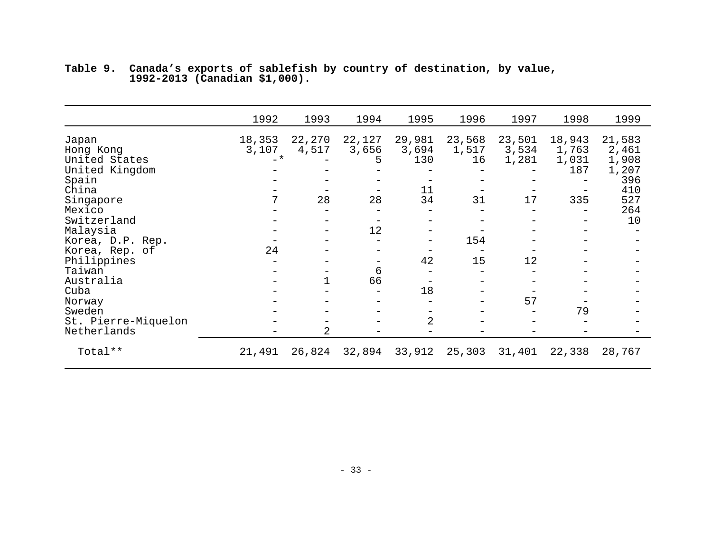|                                                                                                                           | 1992                          | 1993                  | 1994                             | 1995                               | 1996                        | 1997                           | 1998                                   | 1999                                                                |
|---------------------------------------------------------------------------------------------------------------------------|-------------------------------|-----------------------|----------------------------------|------------------------------------|-----------------------------|--------------------------------|----------------------------------------|---------------------------------------------------------------------|
| Japan<br>Hong Kong<br>United States<br>United Kingdom<br>Spain<br>China<br>Singapore<br>Mexico<br>Switzerland<br>Malaysia | 18,353<br>3,107<br>$-$ *<br>7 | 22,270<br>4,517<br>28 | 22,127<br>3,656<br>5<br>28<br>12 | 29,981<br>3,694<br>130<br>11<br>34 | 23,568<br>1,517<br>16<br>31 | 23,501<br>3,534<br>1,281<br>17 | 18,943<br>1,763<br>1,031<br>187<br>335 | 21,583<br>2,461<br>1,908<br>1,207<br>396<br>410<br>527<br>264<br>10 |
| Korea, D.P. Rep.                                                                                                          | 24                            |                       |                                  |                                    | 154                         |                                |                                        |                                                                     |
| Korea, Rep. of<br>Philippines                                                                                             |                               |                       | -                                | 42                                 | 15                          | 12                             |                                        |                                                                     |
| Taiwan                                                                                                                    |                               |                       | 6                                |                                    |                             |                                |                                        |                                                                     |
| Australia                                                                                                                 |                               |                       | 66                               |                                    |                             |                                |                                        |                                                                     |
| Cuba                                                                                                                      |                               |                       |                                  | 18                                 |                             |                                |                                        |                                                                     |
| Norway                                                                                                                    |                               |                       |                                  |                                    |                             | 57                             |                                        |                                                                     |
| Sweden                                                                                                                    |                               |                       |                                  |                                    |                             |                                | 79                                     |                                                                     |
| St. Pierre-Miquelon                                                                                                       |                               |                       |                                  | 2                                  |                             |                                |                                        |                                                                     |
| Netherlands                                                                                                               |                               | 2                     |                                  |                                    |                             |                                |                                        |                                                                     |
| Total**                                                                                                                   | 21,491                        | 26,824                | 32,894                           | 33,912                             | 25,303                      | 31,401                         | 22,338                                 | 28,767                                                              |

**Table 9. Canada's exports of sablefish by country of destination, by value, 1992-2013 (Canadian \$1,000).**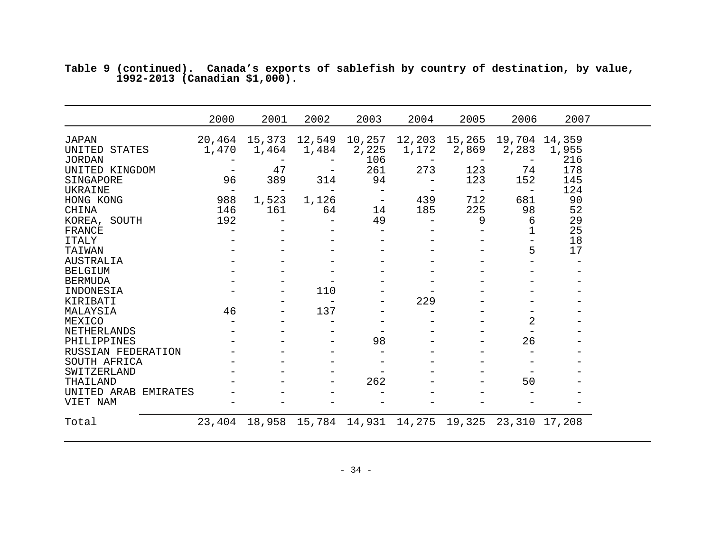|                                         | 2000                           | 2001                          | 2002                            | 2003                     | 2004                            | 2005                                 | 2006                     | 2007       |  |
|-----------------------------------------|--------------------------------|-------------------------------|---------------------------------|--------------------------|---------------------------------|--------------------------------------|--------------------------|------------|--|
| <b>JAPAN</b><br>UNITED<br><b>STATES</b> | 1,470                          | 20,464 15,373 12,549<br>1,464 | 1,484                           | 10,257<br>2,225          | 1,172                           | 12,203 15,265 19,704 14,359<br>2,869 | 2,283                    | 1,955      |  |
| <b>JORDAN</b><br>UNITED KINGDOM         |                                | 47                            | $\qquad \qquad -$               | 106<br>261               | $\overline{\phantom{m}}$<br>273 | 123                                  | 74                       | 216<br>178 |  |
| SINGAPORE<br>UKRAINE                    | 96<br>$\overline{\phantom{m}}$ | 389                           | 314                             | 94                       |                                 | 123                                  | 152<br>$\qquad \qquad -$ | 145<br>124 |  |
| HONG KONG                               | 988                            | 1,523                         | 1,126                           | $\overline{\phantom{m}}$ | 439                             | 712                                  | 681                      | 90         |  |
| CHINA<br>KOREA, SOUTH                   | 146<br>192                     | 161                           | 64<br>$\qquad \qquad -$         | 14<br>49                 | 185<br>$\qquad \qquad -$        | 225<br>9                             | 98<br>6                  | 52<br>29   |  |
| FRANCE<br><b>ITALY</b>                  |                                |                               |                                 |                          |                                 |                                      | 1                        | 25<br>18   |  |
| TAIWAN                                  |                                |                               |                                 |                          |                                 |                                      | 5                        | 17         |  |
| <b>AUSTRALIA</b><br><b>BELGIUM</b>      |                                |                               |                                 |                          |                                 |                                      |                          |            |  |
| <b>BERMUDA</b>                          |                                |                               |                                 |                          |                                 |                                      |                          |            |  |
| INDONESIA<br>KIRIBATI                   |                                |                               | 110<br>$\overline{\phantom{m}}$ |                          | 229                             |                                      |                          |            |  |
| MALAYSIA                                | 46                             |                               | 137                             |                          |                                 |                                      |                          |            |  |
| MEXICO<br>NETHERLANDS                   |                                |                               |                                 |                          |                                 |                                      | 2                        |            |  |
| PHILIPPINES                             |                                |                               |                                 | 98                       |                                 |                                      | 26                       |            |  |
| RUSSIAN FEDERATION<br>SOUTH AFRICA      |                                |                               |                                 |                          |                                 |                                      |                          |            |  |
| SWITZERLAND                             |                                |                               |                                 |                          |                                 |                                      |                          |            |  |
| THAILAND                                |                                |                               |                                 | 262                      |                                 |                                      | 50                       |            |  |
| UNITED ARAB<br>EMIRATES<br>VIET NAM     |                                |                               |                                 |                          |                                 |                                      |                          |            |  |
| Total                                   | 23,404                         | 18,958                        | 15,784                          | 14,931                   | 14,275                          | 19,325 23,310                        |                          | 17,208     |  |

**Table 9 (continued). Canada's exports of sablefish by country of destination, by value, 1992-2013 (Canadian \$1,000).**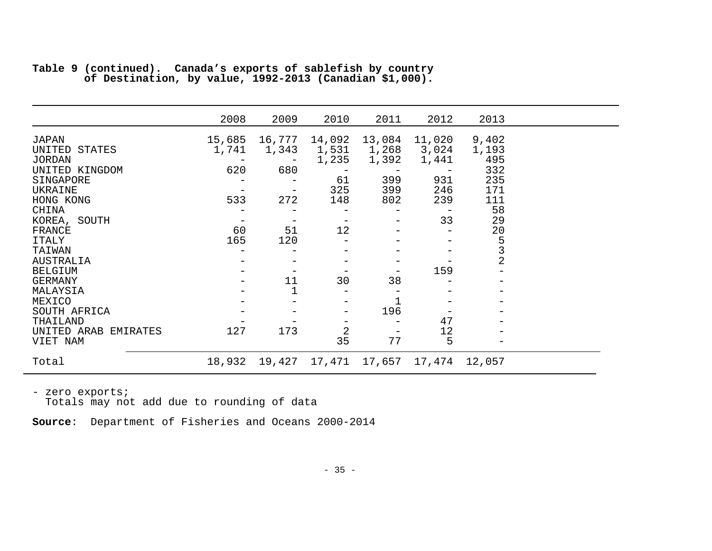|                                | 2008                              | 2009   | 2010           | 2011           | 2012           | 2013           |
|--------------------------------|-----------------------------------|--------|----------------|----------------|----------------|----------------|
| JAPAN                          | 15,685                            | 16,777 | 14,092         | 13,084         | 11,020         | 9,402          |
| UNITED STATES<br><b>JORDAN</b> | 1,741<br>$\overline{\phantom{m}}$ | 1,343  | 1,531<br>1,235 | 1,268<br>1,392 | 3,024<br>1,441 | 1,193<br>495   |
| UNITED KINGDOM                 | 620                               | 680    |                |                |                | 332            |
| SINGAPORE                      |                                   |        | 61             | 399            | 931            | 235            |
| UKRAINE                        |                                   |        | 325            | 399            | 246            | 171            |
| HONG KONG                      | 533                               | 272    | 148            | 802            | 239            | 111            |
| CHINA<br>KOREA, SOUTH          |                                   |        | -<br>-         | -              | 33             | 58<br>29       |
| FRANCE                         | 60                                | 51     | 12             |                |                | 20             |
| <b>ITALY</b>                   | 165                               | 120    |                |                |                | 5              |
| TAIWAN                         |                                   |        |                |                |                | 3              |
| AUSTRALIA                      |                                   |        |                |                |                | $\overline{2}$ |
| <b>BELGIUM</b>                 |                                   |        | -              |                | 159            |                |
| GERMANY<br>MALAYSIA            |                                   | 11     | 30             | 38             |                |                |
| MEXICO                         |                                   |        | -              |                |                |                |
| SOUTH AFRICA                   |                                   |        | -              | 196            |                |                |
| THAILAND                       |                                   |        |                |                | 47             |                |
| UNITED ARAB EMIRATES           | 127                               | 173    | $\overline{a}$ |                | 12             |                |
| VIET NAM                       |                                   |        | 35             | 77             | 5              |                |
| Total                          | 18,932                            | 19,427 | 17,471         | 17,657 17,474  |                | 12,057         |

|  | Table 9 (continued). Canada's exports of sablefish by country |  |  |  |  |
|--|---------------------------------------------------------------|--|--|--|--|
|  | of Destination, by value, 1992-2013 (Canadian \$1,000).       |  |  |  |  |

- zero exports;<br>Totals may not add due to rounding of data

**Source**: Department of Fisheries and Oceans 2000-2014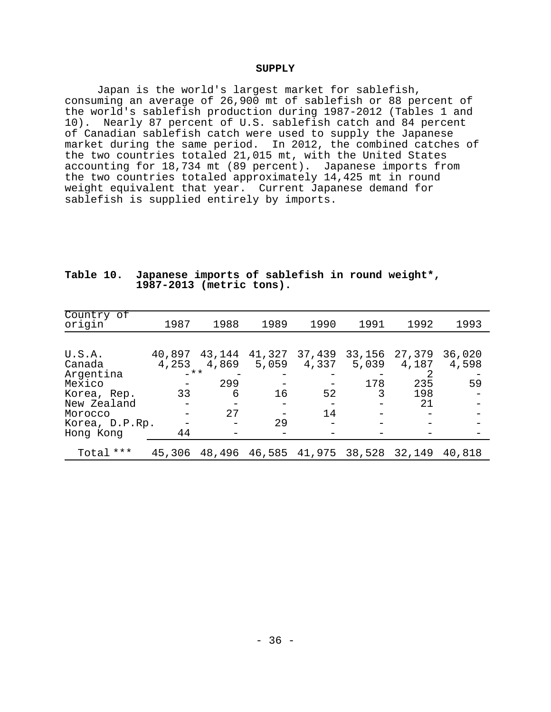#### **SUPPLY**

Japan is the world's largest market for sablefish, consuming an average of 26,900 mt of sablefish or 88 percent of the world's sablefish production during 1987-2012 (Tables 1 and 10). Nearly 87 percent of U.S. sablefish catch and 84 percent of Canadian sablefish catch were used to supply the Japanese market during the same period. In 2012, the combined catches of the two countries totaled 21,015 mt, with the United States accounting for 18,734 mt (89 percent). Japanese imports from the two countries totaled approximately 14,425 mt in round weight equivalent that year. Current Japanese demand for sablefish is supplied entirely by imports.

| Country of     |        |        |        |        |                      |        |        |
|----------------|--------|--------|--------|--------|----------------------|--------|--------|
| origin         | 1987   | 1988   | 1989   | 1990   | 1991                 | 1992   | 1993   |
|                |        |        |        |        |                      |        |        |
|                |        |        |        |        |                      |        |        |
|                |        |        |        |        |                      |        |        |
| U.S.A.         | 40,897 | 43,144 | 41,327 | 37,439 | 33,156               | 27,379 | 36,020 |
| Canada         | 4,253  | 4,869  | 5,059  | 4,337  | 5,039                | 4,187  | 4,598  |
| Argentina      | $-$ ** |        |        |        |                      |        |        |
| Mexico         |        | 299    |        |        | 178                  | 235    | 59     |
| Korea, Rep.    | 33     | 6      | 16     | 52     | 3                    | 198    |        |
| New Zealand    |        |        |        |        |                      | 21     |        |
| Morocco        |        | 27     |        | 14     |                      |        |        |
| Korea, D.P.Rp. |        |        | 29     |        |                      |        |        |
| Hong Kong      | 44     |        |        |        |                      |        |        |
|                |        |        |        |        |                      |        |        |
| Total ***      | 45,306 | 48,496 |        |        | 46,585 41,975 38,528 | 32,149 | 40,818 |

#### Table 10. Japanese imports of sablefish in round weight\*, 1987-2013 (metric tons).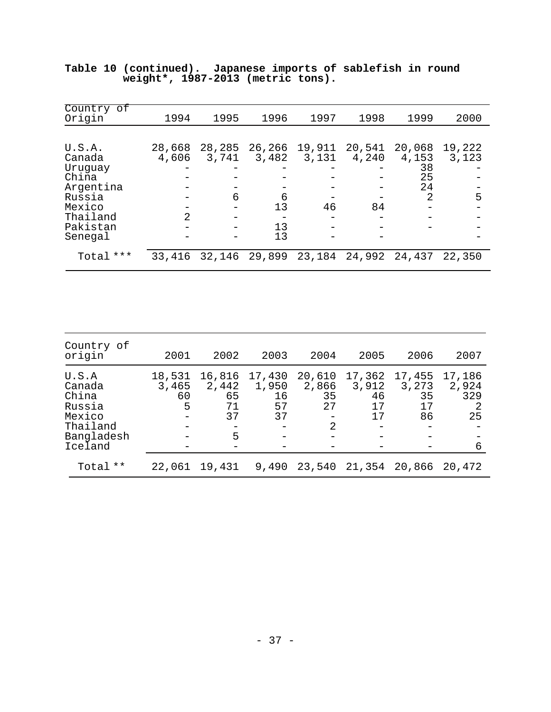| Country of<br>Origin        | 1994            | 1995            | 1996            | 1997            | 1998            | 1999                  | 2000            |
|-----------------------------|-----------------|-----------------|-----------------|-----------------|-----------------|-----------------------|-----------------|
|                             |                 |                 |                 |                 |                 |                       |                 |
| U.S.A.<br>Canada<br>Uruguay | 28,668<br>4,606 | 28,285<br>3,741 | 26,266<br>3,482 | 19,911<br>3,131 | 20,541<br>4,240 | 20,068<br>4,153<br>38 | 19,222<br>3,123 |
| China<br>Argentina          |                 |                 |                 |                 |                 | 25<br>24              |                 |
| Russia                      |                 | 6               | 6               |                 |                 | 2                     | 5               |
| Mexico<br>Thailand          | $\mathcal{L}$   |                 | 13              | 46              | 84              |                       |                 |
| Pakistan<br>Senegal         |                 |                 | 13<br>13        |                 |                 |                       |                 |
| Total ***                   | 33,416          | 32,146          | 29,899          | 23,184          | 24,992          | 24,437                | 22,350          |

|  |                                     |  |  |  | Table 10 (continued). Japanese imports of sablefish in round |  |
|--|-------------------------------------|--|--|--|--------------------------------------------------------------|--|
|  | weight*, $1987-2013$ (metric tons). |  |  |  |                                                              |  |

| Country of<br>origin                                                              | 2001                       | 2002                                   | 2003                              | 2004                                          | 2005                              | 2006                              | 2007                              |
|-----------------------------------------------------------------------------------|----------------------------|----------------------------------------|-----------------------------------|-----------------------------------------------|-----------------------------------|-----------------------------------|-----------------------------------|
| U.S.A<br>Canada<br>China<br>Russia<br>Mexico<br>Thailand<br>Bangladesh<br>Iceland | 18,531<br>3,465<br>60<br>5 | 16,816<br>2,442<br>65<br>71<br>37<br>5 | 17,430<br>1,950<br>16<br>57<br>37 | 20,610<br>2,866<br>35<br>27<br>$\mathfrak{D}$ | 17,362<br>3,912<br>46<br>17<br>17 | 17,455<br>3,273<br>35<br>17<br>86 | 17,186<br>2,924<br>329<br>25<br>6 |
| Total **                                                                          | 22,061                     | 19,431                                 | 9,490                             |                                               | 23,540 21,354                     | 20,866                            | 20,472                            |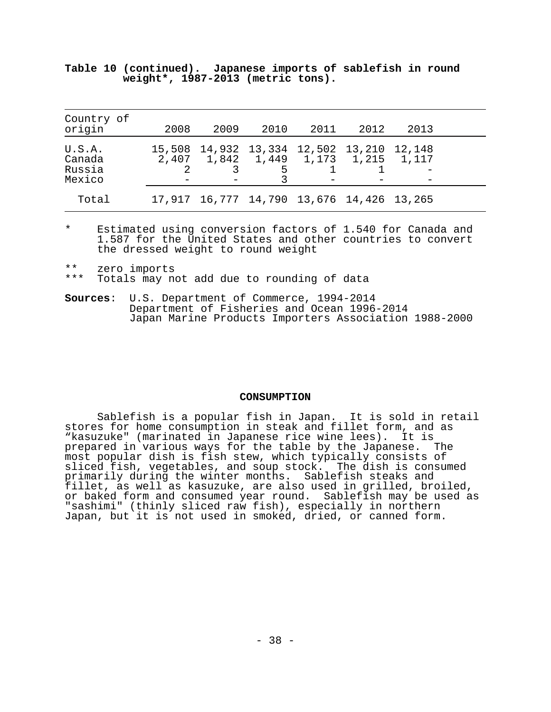| Country of<br>origin                 | 2008 | 2009                                                                             | 2010 | 2011 | 2012 | 2013 |  |
|--------------------------------------|------|----------------------------------------------------------------------------------|------|------|------|------|--|
| U.S.A.<br>Canada<br>Russia<br>Mexico |      | 15,508 14,932 13,334 12,502 13,210 12,148<br>2,407 1,842 1,449 1,173 1,215 1,117 | 5    |      |      |      |  |
| Total                                |      | 17,917 16,777 14,790 13,676 14,426 13,265                                        |      |      |      |      |  |

**Table 10 (continued). Japanese imports of sablefish in round weight\*, 1987-2013 (metric tons).**

\* Estimated using conversion factors of 1.540 for Canada and 1.587 for the United States and other countries to convert the dressed weight to round weight

\*\* zero imports<br>\*\*\* Totals may no

Totals may not add due to rounding of data

**Sources**: U.S. Department of Commerce, 1994-2014 Department of Fisheries and Ocean 1996-2014 Japan Marine Products Importers Association 1988-2000

#### **CONSUMPTION**

Sablefish is a popular fish in Japan. It is sold in retail stores for home consumption in steak and fillet form, and as "kasuzuke" (marinated in Japanese rice wine lees). It is prepared in various ways for the table by the Japanese. The most popular dish is fish stew, which typically consists of sliced fish, vegetables, and soup stock. The dish is consumed primarily during the winter months. Sablefish steaks and fillet, as well as kasuzuke, are also used in grilled, broiled, or baked form and consumed year round. Sablefish may be used as "sashimi" (thinly sliced raw fish), especially in northern Japan, but it is not used in smoked, dried, or canned form.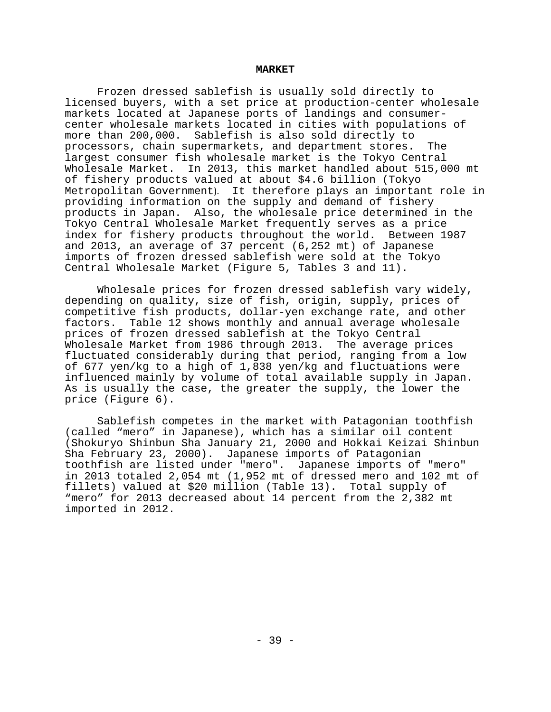#### **MARKET**

Frozen dressed sablefish is usually sold directly to licensed buyers, with a set price at production-center wholesale markets located at Japanese ports of landings and consumercenter wholesale markets located in cities with populations of more than 200,000. Sablefish is also sold directly to processors, chain supermarkets, and department stores. The largest consumer fish wholesale market is the Tokyo Central Wholesale Market. In 2013, this market handled about 515,000 mt of fishery products valued at about \$4.6 billion (Tokyo Metropolitan Government). It therefore plays an important role in providing information on the supply and demand of fishery products in Japan. Also, the wholesale price determined in the Tokyo Central Wholesale Market frequently serves as a price index for fishery products throughout the world. and 2013, an average of 37 percent (6,252 mt) of Japanese imports of frozen dressed sablefish were sold at the Tokyo Central Wholesale Market (Figure 5, Tables 3 and 11).

Wholesale prices for frozen dressed sablefish vary widely, depending on quality, size of fish, origin, supply, prices of competitive fish products, dollar-yen exchange rate, and other factors. Table 12 shows monthly and annual average wholesale prices of frozen dressed sablefish at the Tokyo Central Wholesale Market from 1986 through 2013. The average prices fluctuated considerably during that period, ranging from a low of 677 yen/kg to a high of 1,838 yen/kg and fluctuations were influenced mainly by volume of total available supply in Japan. As is usually the case, the greater the supply, the lower the price (Figure 6).

Sablefish competes in the market with Patagonian toothfish (called "mero" in Japanese), which has a similar oil content (Shokuryo Shinbun Sha January 21, 2000 and Hokkai Keizai Shinbun Sha February 23, 2000). Japanese imports of Patagonian toothfish are listed under "mero". Japanese imports of "mero" in 2013 totaled 2,054 mt (1,952 mt of dressed mero and 102 mt of fillets) valued at \$20 million (Table 13). Total supply of "mero" for 2013 decreased about 14 percent from the 2,382 mt imported in 2012.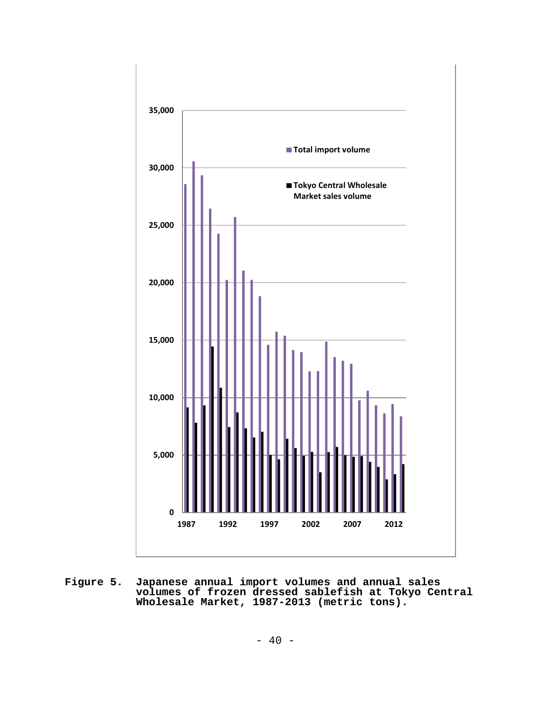

**Figure 5. Japanese annual import volumes and annual sales volumes of frozen dressed sablefish at Tokyo Central Wholesale Market, 1987-2013 (metric tons).**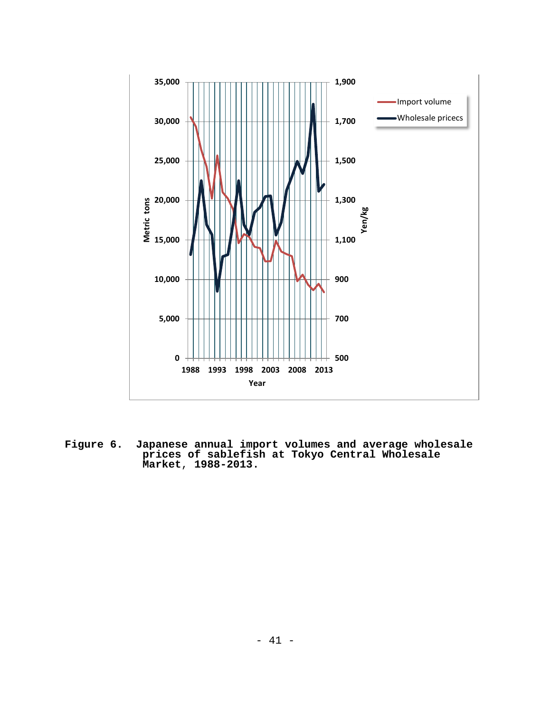

**Figure 6. Japanese annual import volumes and average wholesale prices of sablefish at Tokyo Central Wholesale Market**, **1988-2013.**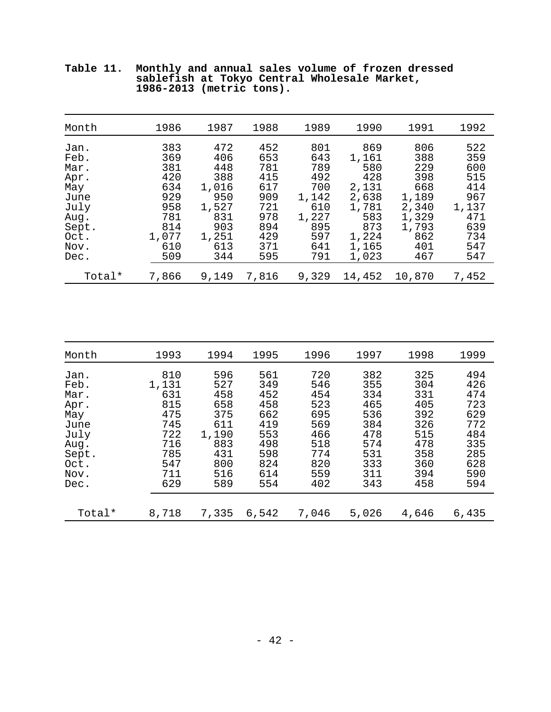| Month                                                                                | 1986                                                                        | 1987                                                                            | 1988                                                                      | 1989                                                                          | 1990                                                                                  | 1991                                                                              | 1992                                                                        |
|--------------------------------------------------------------------------------------|-----------------------------------------------------------------------------|---------------------------------------------------------------------------------|---------------------------------------------------------------------------|-------------------------------------------------------------------------------|---------------------------------------------------------------------------------------|-----------------------------------------------------------------------------------|-----------------------------------------------------------------------------|
| Jan.<br>Feb.<br>Mar.<br>Apr.<br>May<br>June<br>July<br>Aug.<br>Sept.<br>Oct.<br>Nov. | 383<br>369<br>381<br>420<br>634<br>929<br>958<br>781<br>814<br>1,077<br>610 | 472<br>406<br>448<br>388<br>1,016<br>950<br>1,527<br>831<br>903<br>1,251<br>613 | 452<br>653<br>781<br>415<br>617<br>909<br>721<br>978<br>894<br>429<br>371 | 801<br>643<br>789<br>492<br>700<br>1,142<br>610<br>1,227<br>895<br>597<br>641 | 869<br>1,161<br>580<br>428<br>2,131<br>2,638<br>1,781<br>583<br>873<br>1,224<br>1,165 | 806<br>388<br>229<br>398<br>668<br>1,189<br>2,340<br>1,329<br>1,793<br>862<br>401 | 522<br>359<br>600<br>515<br>414<br>967<br>1,137<br>471<br>639<br>734<br>547 |
| Dec.                                                                                 | 509                                                                         | 344                                                                             | 595                                                                       | 791                                                                           | 1,023                                                                                 | 467                                                                               | 547                                                                         |
| Total*                                                                               | 7,866                                                                       | 9,149                                                                           | 7,816                                                                     | 9,329                                                                         | 14,452                                                                                | 10,870                                                                            | 7,452                                                                       |

**Table 11. Monthly and annual sales volume of frozen dressed sablefish at Tokyo Central Wholesale Market, 1986-2013 (metric tons).**

| Month                                                                                | 1993                                                                               | 1994                                                                               | 1995                                                                             | 1996                                                                             | 1997                                                                             | 1998                                                                             | 1999                                                                             |
|--------------------------------------------------------------------------------------|------------------------------------------------------------------------------------|------------------------------------------------------------------------------------|----------------------------------------------------------------------------------|----------------------------------------------------------------------------------|----------------------------------------------------------------------------------|----------------------------------------------------------------------------------|----------------------------------------------------------------------------------|
| Jan.<br>Feb.<br>Mar.<br>Apr.<br>May<br>June<br>July<br>Aug.<br>Sept.<br>Oct.<br>Nov. | 810<br>1,131<br>631<br>815<br>475<br>745<br>722<br>716<br>785<br>547<br>711<br>629 | 596<br>527<br>458<br>658<br>375<br>611<br>1,190<br>883<br>431<br>800<br>516<br>589 | 561<br>349<br>452<br>458<br>662<br>419<br>553<br>498<br>598<br>824<br>614<br>554 | 720<br>546<br>454<br>523<br>695<br>569<br>466<br>518<br>774<br>820<br>559<br>402 | 382<br>355<br>334<br>465<br>536<br>384<br>478<br>574<br>531<br>333<br>311<br>343 | 325<br>304<br>331<br>405<br>392<br>326<br>515<br>478<br>358<br>360<br>394<br>458 | 494<br>426<br>474<br>723<br>629<br>772<br>484<br>335<br>285<br>628<br>590<br>594 |
| Dec.<br>Total*                                                                       | 8,718                                                                              | 7,335                                                                              | 6,542                                                                            | 7,046                                                                            | 5,026                                                                            | 4,646                                                                            | 6,435                                                                            |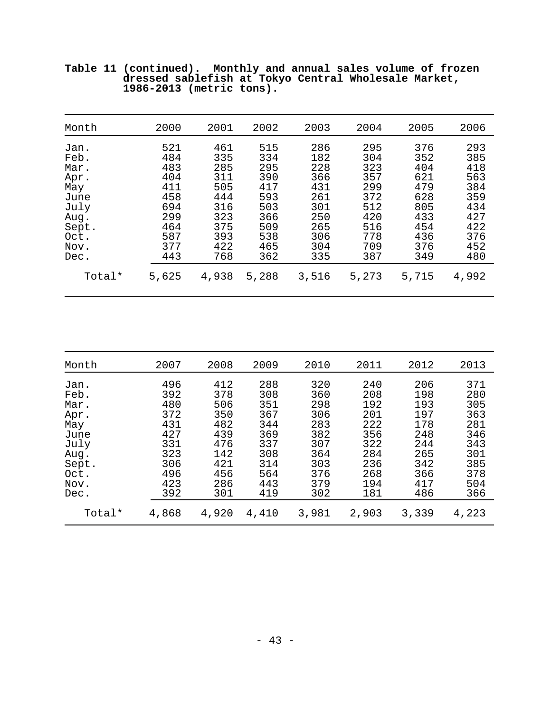| Month  | 2000  | 2001  | 2002  | 2003  | 2004  | 2005  | 2006  |
|--------|-------|-------|-------|-------|-------|-------|-------|
| Jan.   | 521   | 461   | 515   | 286   | 295   | 376   | 293   |
| Feb.   | 484   | 335   | 334   | 182   | 304   | 352   | 385   |
| Mar.   | 483   | 285   | 295   | 228   | 323   | 404   | 418   |
| Apr.   | 404   | 311   | 390   | 366   | 357   | 621   | 563   |
| May    | 411   | 505   | 417   | 431   | 299   | 479   | 384   |
| June   | 458   | 444   | 593   | 261   | 372   | 628   | 359   |
| July   | 694   | 316   | 503   | 301   | 512   | 805   | 434   |
| Aug.   | 299   | 323   | 366   | 250   | 420   | 433   | 427   |
| Sept.  | 464   | 375   | 509   | 265   | 516   | 454   | 422   |
| Oct.   | 587   | 393   | 538   | 306   | 778   | 436   | 376   |
| Nov.   | 377   | 422   | 465   | 304   | 709   | 376   | 452   |
| Dec.   | 443   | 768   | 362   | 335   | 387   | 349   | 480   |
| Total* | 5,625 | 4,938 | 5,288 | 3,516 | 5,273 | 5,715 | 4,992 |

**Table 11 (continued). Monthly and annual sales volume of frozen dressed sablefish at Tokyo Central Wholesale Market, 1986-2013 (metric tons).**

| Month  | 2007  | 2008  | 2009  | 2010  | 2011  | 2012  | 2013  |
|--------|-------|-------|-------|-------|-------|-------|-------|
| Jan.   | 496   | 412   | 288   | 320   | 240   | 206   | 371   |
| Feb.   | 392   | 378   | 308   | 360   | 208   | 198   | 280   |
| Mar.   | 480   | 506   | 351   | 298   | 192   | 193   | 305   |
| Apr.   | 372   | 350   | 367   | 306   | 2.01  | 197   | 363   |
| May    | 431   | 482   | 344   | 283   | 222   | 178   | 281   |
| June   | 427   | 439   | 369   | 382   | 356   | 248   | 346   |
| July   | 331   | 476   | 337   | 307   | 322   | 244   | 343   |
| Aug.   | 323   | 142   | 308   | 364   | 284   | 265   | 301   |
| Sept.  | 306   | 421   | 314   | 303   | 236   | 342   | 385   |
| Oct.   | 496   | 456   | 564   | 376   | 268   | 366   | 378   |
| Nov.   | 423   | 286   | 443   | 379   | 194   | 417   | 504   |
| Dec.   | 392   | 301   | 419   | 302   | 181   | 486   | 366   |
| Total* | 4,868 | 4,920 | 4,410 | 3,981 | 2,903 | 3,339 | 4,223 |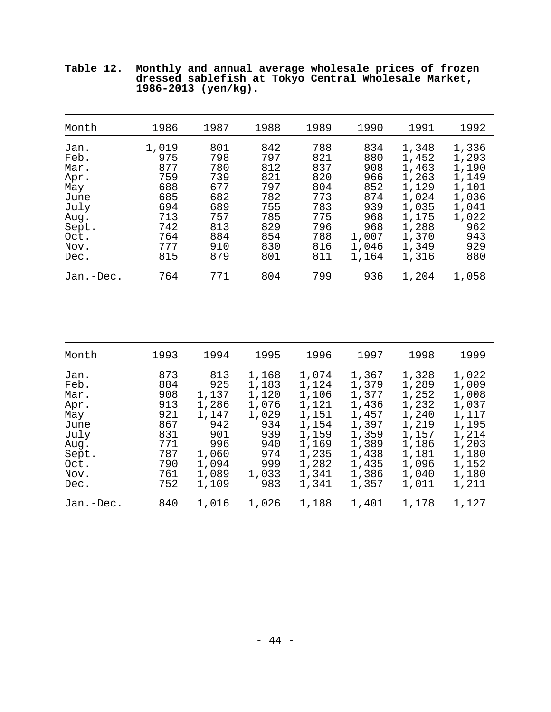| Month                                                                                        | 1986                                                                               | 1987                                                                             | 1988                                                                             | 1989                                                                             | 1990                                                                                   | 1991                                                                                                     | 1992                                                                                             |
|----------------------------------------------------------------------------------------------|------------------------------------------------------------------------------------|----------------------------------------------------------------------------------|----------------------------------------------------------------------------------|----------------------------------------------------------------------------------|----------------------------------------------------------------------------------------|----------------------------------------------------------------------------------------------------------|--------------------------------------------------------------------------------------------------|
| Jan.<br>Feb.<br>Mar.<br>Apr.<br>May<br>June<br>July<br>Aug.<br>Sept.<br>Oct.<br>Nov.<br>Dec. | 1,019<br>975<br>877<br>759<br>688<br>685<br>694<br>713<br>742<br>764<br>777<br>815 | 801<br>798<br>780<br>739<br>677<br>682<br>689<br>757<br>813<br>884<br>910<br>879 | 842<br>797<br>812<br>821<br>797<br>782<br>755<br>785<br>829<br>854<br>830<br>801 | 788<br>821<br>837<br>820<br>804<br>773<br>783<br>775<br>796<br>788<br>816<br>811 | 834<br>880<br>908<br>966<br>852<br>874<br>939<br>968<br>968<br>1,007<br>1,046<br>1,164 | 1,348<br>1,452<br>1,463<br>1,263<br>1,129<br>1,024<br>1,035<br>1,175<br>1,288<br>1,370<br>1,349<br>1,316 | 1,336<br>1,293<br>1,190<br>1,149<br>1,101<br>1,036<br>1,041<br>1,022<br>962<br>943<br>929<br>880 |
| Jan.-Dec.                                                                                    | 764                                                                                | 771                                                                              | 804                                                                              | 799                                                                              | 936                                                                                    | 1,204                                                                                                    | 1,058                                                                                            |

**Table 12. Monthly and annual average wholesale prices of frozen dressed sablefish at Tokyo Central Wholesale Market, 1986-2013 (yen/kg).**

| Month                                                                                        | 1993                                                                             | 1994                                                                                           | 1995                                                                                         | 1996                                                                                                     | 1997                                                                                                     | 1998                                                                                                     | 1999                                                                                                     |
|----------------------------------------------------------------------------------------------|----------------------------------------------------------------------------------|------------------------------------------------------------------------------------------------|----------------------------------------------------------------------------------------------|----------------------------------------------------------------------------------------------------------|----------------------------------------------------------------------------------------------------------|----------------------------------------------------------------------------------------------------------|----------------------------------------------------------------------------------------------------------|
| Jan.<br>Feb.<br>Mar.<br>Apr.<br>May<br>June<br>July<br>Aug.<br>Sept.<br>Oct.<br>Nov.<br>Dec. | 873<br>884<br>908<br>913<br>921<br>867<br>831<br>771<br>787<br>790<br>761<br>752 | 813<br>925<br>1,137<br>1,286<br>1,147<br>942<br>901<br>996<br>1,060<br>1,094<br>1,089<br>1,109 | 1,168<br>1,183<br>1,120<br>1,076<br>1,029<br>934<br>939<br>940<br>974<br>999<br>1,033<br>983 | 1,074<br>1,124<br>1,106<br>1,121<br>1,151<br>1,154<br>1,159<br>1,169<br>1,235<br>1,282<br>1,341<br>1,341 | 1,367<br>1,379<br>1,377<br>1,436<br>1,457<br>1,397<br>1,359<br>1,389<br>1,438<br>1,435<br>1,386<br>1,357 | 1,328<br>1,289<br>1,252<br>1,232<br>1,240<br>1,219<br>1,157<br>1,186<br>1,181<br>1,096<br>1,040<br>1,011 | 1,022<br>1,009<br>1,008<br>1,037<br>1,117<br>1,195<br>1,214<br>1,203<br>1,180<br>1,152<br>1,180<br>1,211 |
| Jan.-Dec.                                                                                    | 840                                                                              | 1,016                                                                                          | 1,026                                                                                        | 1,188                                                                                                    | 1,401                                                                                                    | 1,178                                                                                                    | 1,127                                                                                                    |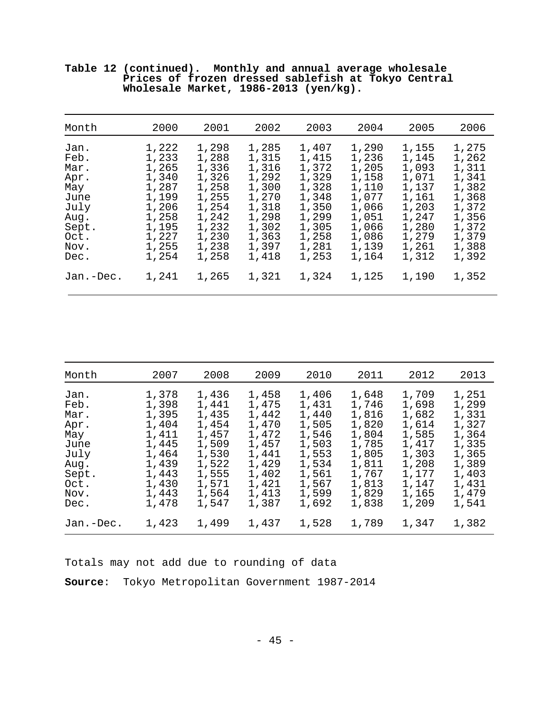| Month                                                                                        | 2000                                                                                                     | 2001                                                                                                     | 2002                                                                                                     | 2003                                                                                                     | 2004                                                                                                     | 2005                                                                                                     | 2006                                                                                                     |
|----------------------------------------------------------------------------------------------|----------------------------------------------------------------------------------------------------------|----------------------------------------------------------------------------------------------------------|----------------------------------------------------------------------------------------------------------|----------------------------------------------------------------------------------------------------------|----------------------------------------------------------------------------------------------------------|----------------------------------------------------------------------------------------------------------|----------------------------------------------------------------------------------------------------------|
| Jan.<br>Feb.<br>Mar.<br>Apr.<br>May<br>June<br>July<br>Aug.<br>Sept.<br>Oct.<br>Nov.<br>Dec. | 1,222<br>1,233<br>1,265<br>1,340<br>1,287<br>1,199<br>1,206<br>1,258<br>1,195<br>1,227<br>1,255<br>1,254 | 1,298<br>1,288<br>1,336<br>1,326<br>1,258<br>1,255<br>1,254<br>1,242<br>1,232<br>1,230<br>1,238<br>1,258 | 1,285<br>1,315<br>1,316<br>1,292<br>1,300<br>1,270<br>1,318<br>1,298<br>1,302<br>1,363<br>1,397<br>1,418 | 1,407<br>1,415<br>1,372<br>1,329<br>1,328<br>1,348<br>1,350<br>1,299<br>1,305<br>1,258<br>1,281<br>1,253 | 1,290<br>1,236<br>1,205<br>1,158<br>1,110<br>1,077<br>1,066<br>1,051<br>1,066<br>1,086<br>1,139<br>1,164 | 1,155<br>1,145<br>1,093<br>1,071<br>1,137<br>1,161<br>1,203<br>1,247<br>1,280<br>1,279<br>1,261<br>1,312 | 1,275<br>1,262<br>1,311<br>1,341<br>1,382<br>1,368<br>1,372<br>1,356<br>1,372<br>1,379<br>1,388<br>1,392 |
| Jan.-Dec.                                                                                    | 1,241                                                                                                    | 1,265                                                                                                    | 1,321                                                                                                    | 1,324                                                                                                    | 1,125                                                                                                    | 1,190                                                                                                    | 1,352                                                                                                    |

**Table 12 (continued). Monthly and annual average wholesale Prices of frozen dressed sablefish at Tokyo Central Wholesale Market, 1986-2013 (yen/kg).**

| Month                                                                                        | 2007                                                                                                     | 2008                                                                                                     | 2009                                                                                                     | 2010                                                                                                     | 2011                                                                                                     | 2012                                                                                                     | 2013                                                                                                     |
|----------------------------------------------------------------------------------------------|----------------------------------------------------------------------------------------------------------|----------------------------------------------------------------------------------------------------------|----------------------------------------------------------------------------------------------------------|----------------------------------------------------------------------------------------------------------|----------------------------------------------------------------------------------------------------------|----------------------------------------------------------------------------------------------------------|----------------------------------------------------------------------------------------------------------|
| Jan.<br>Feb.<br>Mar.<br>Apr.<br>May<br>June<br>July<br>Aug.<br>Sept.<br>Oct.<br>Nov.<br>Dec. | 1,378<br>1,398<br>1,395<br>1,404<br>1,411<br>1,445<br>1,464<br>1,439<br>1,443<br>1,430<br>1,443<br>1,478 | 1,436<br>1,441<br>1,435<br>1,454<br>1,457<br>1,509<br>1,530<br>1,522<br>1,555<br>1,571<br>1,564<br>1,547 | 1,458<br>1,475<br>1,442<br>1,470<br>1,472<br>1,457<br>1,441<br>1,429<br>1,402<br>1,421<br>1,413<br>1,387 | 1,406<br>1,431<br>1,440<br>1,505<br>1,546<br>1,503<br>1,553<br>1,534<br>1,561<br>1,567<br>1,599<br>1,692 | 1,648<br>1,746<br>1,816<br>1,820<br>1,804<br>1,785<br>1,805<br>1,811<br>1,767<br>1,813<br>1,829<br>1,838 | 1,709<br>1,698<br>1,682<br>1,614<br>1,585<br>1,417<br>1,303<br>1,208<br>1,177<br>1,147<br>1,165<br>1,209 | 1,251<br>1,299<br>1,331<br>1,327<br>1,364<br>1,335<br>1,365<br>1,389<br>1,403<br>1,431<br>1,479<br>1,541 |
| Jan.-Dec.                                                                                    | 1,423                                                                                                    | 1,499                                                                                                    | 1,437                                                                                                    | 1,528                                                                                                    | 1,789                                                                                                    | 1,347                                                                                                    | 1,382                                                                                                    |

Totals may not add due to rounding of data **Source**: Tokyo Metropolitan Government 1987-2014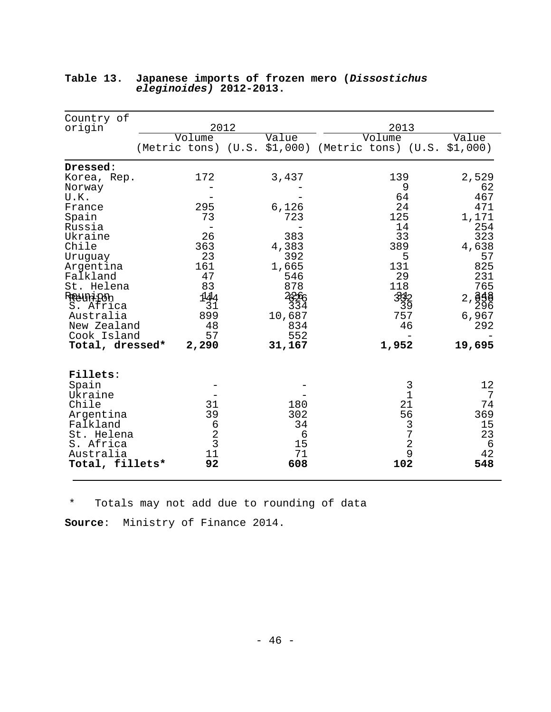| Country of             | 2012          |                                                  | 2013      |              |                            |
|------------------------|---------------|--------------------------------------------------|-----------|--------------|----------------------------|
| origin                 | Volume        | Value                                            | Volume    |              | Value                      |
|                        |               | (Metric tons) (U.S. \$1,000) (Metric tons) (U.S. |           |              | \$1,000)                   |
| Dressed:               |               |                                                  |           |              |                            |
| Korea, Rep.            | 172           | 3,437                                            | 139       |              | 2,529                      |
| Norway                 |               |                                                  |           | 9            | 62                         |
| U.K.<br>France         | 295           | 6,126                                            | 64<br>24  |              | 467<br>471                 |
| Spain                  | 73            | 723                                              | 125       |              | 1,171                      |
| Russia                 |               |                                                  | 14        |              | 254                        |
| Ukraine                | 26            | 383                                              | 33        |              | 323                        |
| Chile                  | 363           | 4,383                                            | 389       |              | 4,638                      |
| Uruguay                | 23            | 392                                              |           | 5            | 57                         |
| Argentina              | 161           | 1,665                                            | 131       |              | 825                        |
| Falkland<br>St. Helena | 47<br>83      | 546<br>878                                       | 29<br>118 |              | 231<br>765                 |
| Reaunion               | 144           | 2296                                             | 312       |              | 2,                         |
| S. Africa              | 31            | 334                                              |           | 39           | ලි <del>§</del> ිලි<br>296 |
| Australia              | 899           | 10,687                                           | 757       |              | 6,967                      |
| New Zealand            | 48            | 834                                              |           | 46           | 292                        |
| Cook Island            | 57            | 552                                              |           |              |                            |
| Total, dressed*        | 2,290         | 31,167                                           | 1,952     |              | 19,695                     |
| Fillets:               |               |                                                  |           |              |                            |
| Spain                  |               |                                                  |           | 3            | 12                         |
| Ukraine                |               |                                                  |           | $\mathbf{1}$ | 7                          |
| Chile<br>Argentina     | 31<br>39      | 180<br>302                                       |           | 21<br>56     | 74<br>369                  |
| Falkland               | $\epsilon$    | 34                                               |           | 3            | 15                         |
| St. Helena             |               | 6                                                |           | 7            | 23                         |
| S. Africa              | $\frac{2}{3}$ | 15                                               |           | $\mathbf 2$  | 6                          |
| Australia              | 11            | 71                                               |           | 9            | 42                         |
| Total, fillets*        | 92            | 608                                              | 102       |              | 548                        |

# **Table 13. Japanese imports of frozen mero (***Dissostichus eleginoides)* **2012-2013.**

\* Totals may not add due to rounding of data

**Source**: Ministry of Finance 2014.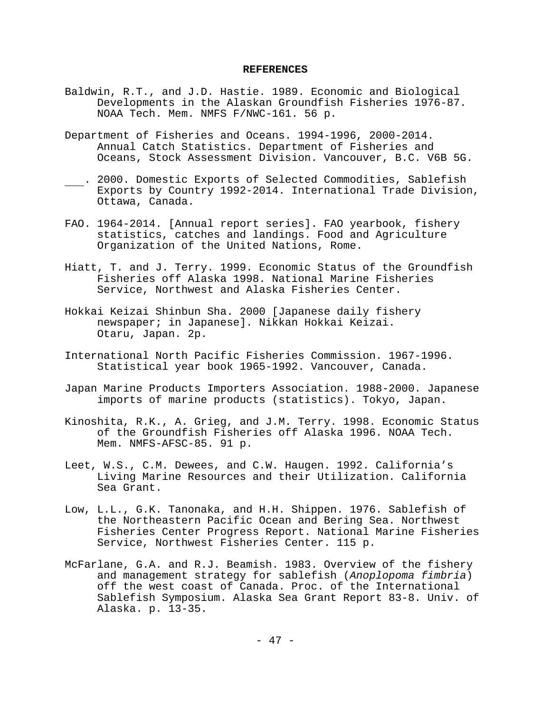#### **REFERENCES**

- Baldwin, R.T., and J.D. Hastie. 1989. Economic and Biological Developments in the Alaskan Groundfish Fisheries 1976-87. NOAA Tech. Mem. NMFS F/NWC-161. 56 p.
- Department of Fisheries and Oceans. 1994-1996, 2000-2014. Annual Catch Statistics. Department of Fisheries and Oceans, Stock Assessment Division. Vancouver, B.C. V6B 5G.
- . 2000. Domestic Exports of Selected Commodities, Sablefish Exports by Country 1992-2014. International Trade Division, Ottawa, Canada.
- FAO. 1964-2014. [Annual report series]. FAO yearbook, fishery statistics, catches and landings. Food and Agriculture Organization of the United Nations, Rome.
- Hiatt, T. and J. Terry. 1999. Economic Status of the Groundfish Fisheries off Alaska 1998. National Marine Fisheries Service, Northwest and Alaska Fisheries Center.
- Hokkai Keizai Shinbun Sha. 2000 [Japanese daily fishery newspaper; in Japanese]. Nikkan Hokkai Keizai. Otaru, Japan. 2p.
- International North Pacific Fisheries Commission. 1967-1996. Statistical year book 1965-1992. Vancouver, Canada.
- Japan Marine Products Importers Association. 1988-2000. Japanese imports of marine products (statistics). Tokyo, Japan.
- Kinoshita, R.K., A. Grieg, and J.M. Terry. 1998. Economic Status of the Groundfish Fisheries off Alaska 1996. NOAA Tech. Mem. NMFS-AFSC-85. 91 p.
- Leet, W.S., C.M. Dewees, and C.W. Haugen. 1992. California's Living Marine Resources and their Utilization. California Sea Grant.
- Low, L.L., G.K. Tanonaka, and H.H. Shippen. 1976. Sablefish of the Northeastern Pacific Ocean and Bering Sea. Northwest Fisheries Center Progress Report. National Marine Fisheries Service, Northwest Fisheries Center. 115 p.
- McFarlane, G.A. and R.J. Beamish. 1983. Overview of the fishery and management strategy for sablefish (*Anoplopoma fimbria*) off the west coast of Canada. Proc. of the International Sablefish Symposium. Alaska Sea Grant Report 83-8. Univ. of Alaska. p. 13-35.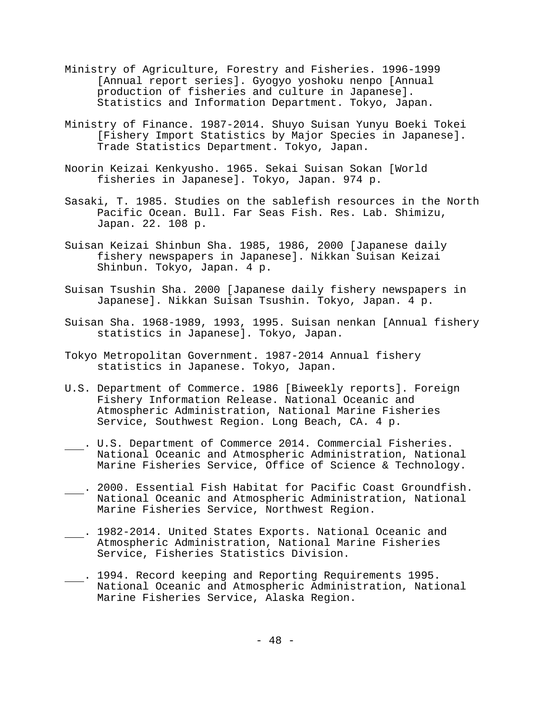- Ministry of Agriculture, Forestry and Fisheries. 1996-1999 [Annual report series]. Gyogyo yoshoku nenpo [Annual production of fisheries and culture in Japanese]. Statistics and Information Department. Tokyo, Japan.
- Ministry of Finance. 1987-2014. Shuyo Suisan Yunyu Boeki Tokei [Fishery Import Statistics by Major Species in Japanese]. Trade Statistics Department. Tokyo, Japan.
- Noorin Keizai Kenkyusho. 1965. Sekai Suisan Sokan [World fisheries in Japanese]. Tokyo, Japan. 974 p.
- Sasaki, T. 1985. Studies on the sablefish resources in the North Pacific Ocean. Bull. Far Seas Fish. Res. Lab. Shimizu, Japan. 22. 108 p.
- Suisan Keizai Shinbun Sha. 1985, 1986, 2000 [Japanese daily fishery newspapers in Japanese]. Nikkan Suisan Keizai Shinbun. Tokyo, Japan. 4 p.
- Suisan Tsushin Sha. 2000 [Japanese daily fishery newspapers in Japanese]. Nikkan Suisan Tsushin. Tokyo, Japan. 4 p.
- Suisan Sha. 1968-1989, 1993, 1995. Suisan nenkan [Annual fishery statistics in Japanese]. Tokyo, Japan.
- Tokyo Metropolitan Government. 1987-2014 Annual fishery statistics in Japanese. Tokyo, Japan.
- U.S. Department of Commerce. 1986 [Biweekly reports]. Foreign Fishery Information Release. National Oceanic and Atmospheric Administration, National Marine Fisheries Service, Southwest Region. Long Beach, CA. 4 p.
- . U.S. Department of Commerce 2014. Commercial Fisheries. National Oceanic and Atmospheric Administration, National Marine Fisheries Service, Office of Science & Technology.
- . 2000. Essential Fish Habitat for Pacific Coast Groundfish. National Oceanic and Atmospheric Administration, National Marine Fisheries Service, Northwest Region.
- . 1982-2014. United States Exports. National Oceanic and Atmospheric Administration, National Marine Fisheries Service, Fisheries Statistics Division.
- . 1994. Record keeping and Reporting Requirements 1995. National Oceanic and Atmospheric Administration, National Marine Fisheries Service, Alaska Region.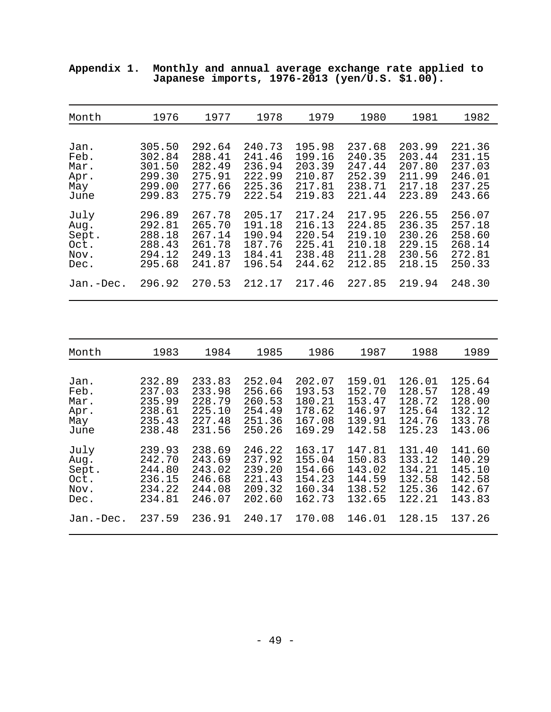| Month     | 1976   | 1977   | 1978   | 1979   | 1980   | 1981   | 1982   |
|-----------|--------|--------|--------|--------|--------|--------|--------|
| Jan.      | 305.50 | 292.64 | 240.73 | 195.98 | 237.68 | 203.99 | 221.36 |
| Feb.      | 302.84 | 288.41 | 241.46 | 199.16 | 240.35 | 203.44 | 231.15 |
| Mar.      | 301.50 | 282.49 | 236.94 | 203.39 | 247.44 | 207.80 | 237.03 |
| Apr.      | 299.30 | 275.91 | 222.99 | 210.87 | 252.39 | 211.99 | 246.01 |
| May       | 299.00 | 277.66 | 225.36 | 217.81 | 238.71 | 217.18 | 237.25 |
| June      | 299.83 | 275.79 | 222.54 | 219.83 | 221.44 | 223.89 | 243.66 |
| July      | 296.89 | 267.78 | 205.17 | 217.24 | 217.95 | 226.55 | 256.07 |
| Aug.      | 292.81 | 265.70 | 191.18 | 216.13 | 224.85 | 236.35 | 257.18 |
| Sept.     | 288.18 | 267.14 | 190.94 | 220.54 | 219.10 | 230.26 | 258.60 |
| Oct.      | 288.43 | 261.78 | 187.76 | 225.41 | 210.18 | 229.15 | 268.14 |
| Nov.      | 294.12 | 249.13 | 184.41 | 238.48 | 211.28 | 230.56 | 272.81 |
| Dec.      | 295.68 | 241.87 | 196.54 | 244.62 | 212.85 | 218.15 | 250.33 |
| Jan.-Dec. | 296.92 | 270.53 | 212.17 | 217.46 | 227.85 | 219.94 | 248.30 |
|           |        |        |        |        |        |        |        |
| Month     | 1983   | 1984   | 1985   | 1986   | 1987   | 1988   | 1989   |
| Jan.      | 232.89 | 233.83 | 252.04 | 202.07 | 159.01 | 126.01 | 125.64 |
| Feb.      | 237.03 | 233.98 | 256.66 | 193.53 | 152.70 | 128.57 | 128.49 |
| Mar.      | 235.99 | 228.79 | 260.53 | 180.21 | 153.47 | 128.72 | 128.00 |
| Apr.      | 238.61 | 225.10 | 254.49 | 178.62 | 146.97 | 125.64 | 132.12 |
| May       | 235.43 | 227.48 | 251.36 | 167.08 | 139.91 | 124.76 | 133.78 |
| June      | 238.48 | 231.56 | 250.26 | 169.29 | 142.58 | 125.23 | 143.06 |
| July      | 239.93 | 238.69 | 246.22 | 163.17 | 147.81 | 131.40 | 141.60 |
| Aug.      | 242.70 | 243.69 | 237.92 | 155.04 | 150.83 | 133.12 | 140.29 |
| Sept.     | 244.80 | 243.02 | 239.20 | 154.66 | 143.02 | 134.21 | 145.10 |
| Oct.      | 236.15 | 246.68 | 221.43 | 154.23 | 144.59 | 132.58 | 142.58 |
| Nov.      | 234.22 | 244.08 | 209.32 | 160.34 | 138.52 | 125.36 | 142.67 |
| Dec.      | 234.81 | 246.07 | 202.60 | 162.73 | 132.65 | 122.21 | 143.83 |
| Jan.-Dec. | 237.59 | 236.91 | 240.17 | 170.08 | 146.01 | 128.15 | 137.26 |

**Appendix 1. Monthly and annual average exchange rate applied to Japanese imports, 1976-2013 (yen/U.S. \$1.00).**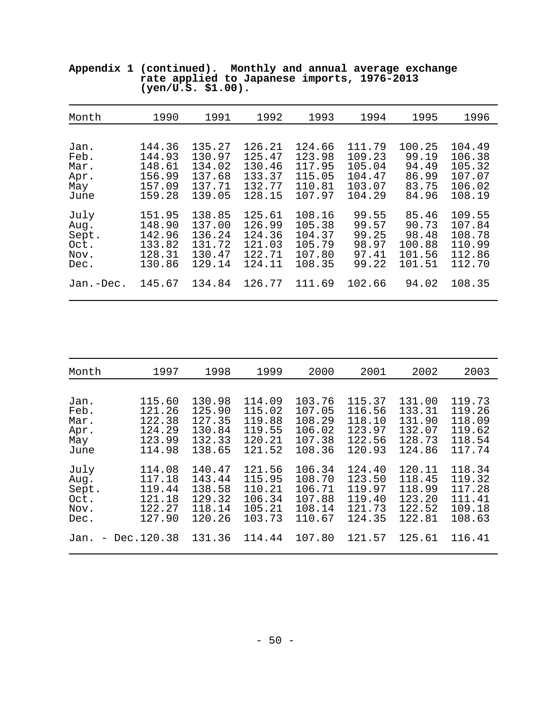| Month     | 1990   | 1991   | 1992   | 1993   | 1994   | 1995   | 1996   |
|-----------|--------|--------|--------|--------|--------|--------|--------|
| Jan.      | 144.36 | 135.27 | 126.21 | 124.66 | 111.79 | 100.25 | 104.49 |
| Feb.      | 144.93 | 130.97 | 125.47 | 123.98 | 109.23 | 99.19  | 106.38 |
| Mar.      | 148.61 | 134.02 | 130.46 | 117.95 | 105.04 | 94.49  | 105.32 |
| Apr.      | 156.99 | 137.68 | 133.37 | 115.05 | 104.47 | 86.99  | 107.07 |
| May       | 157.09 | 137.71 | 132.77 | 110.81 | 103.07 | 83.75  | 106.02 |
| June      | 159.28 | 139.05 | 128.15 | 107.97 | 104.29 | 84.96  | 108.19 |
| July      | 151.95 | 138.85 | 125.61 | 108.16 | 99.55  | 85.46  | 109.55 |
| Aug.      | 148.90 | 137.00 | 126.99 | 105.38 | 99.57  | 90.73  | 107.84 |
| Sept.     | 142.96 | 136.24 | 124.36 | 104.37 | 99.25  | 98.48  | 108.78 |
| Oct.      | 133.82 | 131.72 | 121.03 | 105.79 | 98.97  | 100.88 | 110.99 |
| Nov.      | 128.31 | 130.47 | 122.71 | 107.80 | 97.41  | 101.56 | 112.86 |
| Dec.      | 130.86 | 129.14 | 124.11 | 108.35 | 99.22  | 101.51 | 112.70 |
| Jan.-Dec. | 145.67 | 134.84 | 126.77 | 111.69 | 102.66 | 94.02  | 108.35 |

**Appendix 1 (continued). Monthly and annual average exchange rate applied to Japanese imports, 1976-2013 (yen/U.S. \$1.00).**

| Month | 1997         | 1998   | 1999   | 2000   | 2001   | 2002   | 2003   |
|-------|--------------|--------|--------|--------|--------|--------|--------|
| Jan.  | 115.60       | 130.98 | 114.09 | 103.76 | 115.37 | 131.00 | 119.73 |
| Feb.  | 121.26       | 125.90 | 115.02 | 107.05 | 116.56 | 133.31 | 119.26 |
| Mar.  | 122.38       | 127.35 | 119.88 | 108.29 | 118.10 | 131.90 | 118.09 |
| Apr.  | 124.29       | 130.84 | 119.55 | 106.02 | 123.97 | 132.07 | 119.62 |
| May   | 123.99       | 132.33 | 120.21 | 107.38 | 122.56 | 128.73 | 118.54 |
| June  | 114.98       | 138.65 | 121.52 | 108.36 | 120.93 | 124.86 | 117.74 |
| July  | 114.08       | 140.47 | 121.56 | 106.34 | 124.40 | 120.11 | 118.34 |
| Aug.  | 117.18       | 143.44 | 115.95 | 108.70 | 123.50 | 118.45 | 119.32 |
| Sept. | 119.44       | 138.58 | 110.21 | 106.71 | 119.97 | 118.99 | 117.28 |
| Oct.  | 121.18       | 129.32 | 106.34 | 107.88 | 119.40 | 123.20 | 111.41 |
| Nov.  | 122.27       | 118.14 | 105.21 | 108.14 | 121.73 | 122.52 | 109.18 |
| Dec.  | 127.90       | 120.26 | 103.73 | 110.67 | 124.35 | 122.81 | 108.63 |
| Jan.  | - Dec.120.38 | 131.36 | 114.44 | 107.80 | 121.57 | 125.61 | 116.41 |